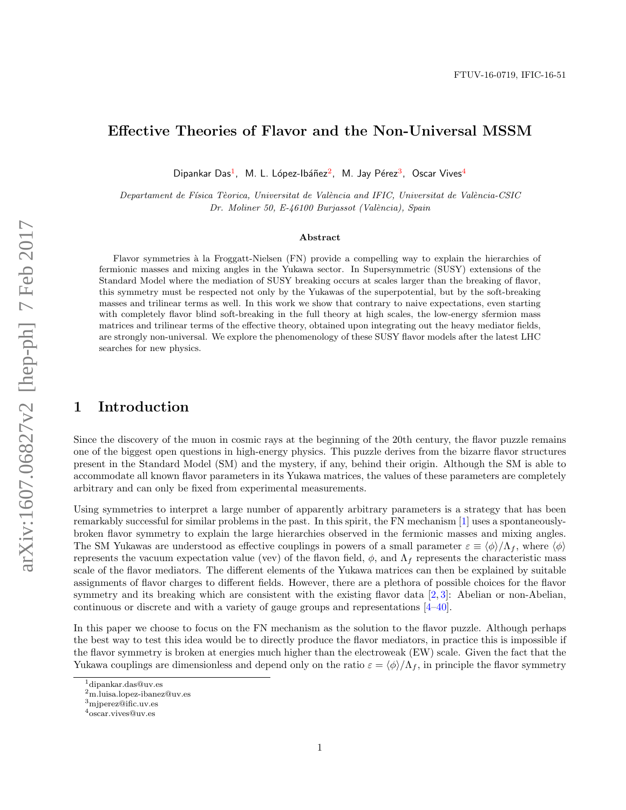# Effective Theories of Flavor and the Non-Universal MSSM

Dipankar Das<sup>1</sup>, M. L. López-Ibáñez<sup>2</sup>, M. Jay Pérez<sup>3</sup>, Oscar Vives<sup>4</sup>

Departament de Física Tèorica, Universitat de València and IFIC, Universitat de València-CSIC Dr. Moliner 50, E-46100 Burjassot (València), Spain

#### Abstract

Flavor symmetries à la Froggatt-Nielsen (FN) provide a compelling way to explain the hierarchies of fermionic masses and mixing angles in the Yukawa sector. In Supersymmetric (SUSY) extensions of the Standard Model where the mediation of SUSY breaking occurs at scales larger than the breaking of flavor, this symmetry must be respected not only by the Yukawas of the superpotential, but by the soft-breaking masses and trilinear terms as well. In this work we show that contrary to naive expectations, even starting with completely flavor blind soft-breaking in the full theory at high scales, the low-energy sfermion mass matrices and trilinear terms of the effective theory, obtained upon integrating out the heavy mediator fields, are strongly non-universal. We explore the phenomenology of these SUSY flavor models after the latest LHC searches for new physics.

### 1 Introduction

Since the discovery of the muon in cosmic rays at the beginning of the 20th century, the flavor puzzle remains one of the biggest open questions in high-energy physics. This puzzle derives from the bizarre flavor structures present in the Standard Model (SM) and the mystery, if any, behind their origin. Although the SM is able to accommodate all known flavor parameters in its Yukawa matrices, the values of these parameters are completely arbitrary and can only be fixed from experimental measurements.

Using symmetries to interpret a large number of apparently arbitrary parameters is a strategy that has been remarkably successful for similar problems in the past. In this spirit, the FN mechanism [1] uses a spontaneouslybroken flavor symmetry to explain the large hierarchies observed in the fermionic masses and mixing angles. The SM Yukawas are understood as effective couplings in powers of a small parameter  $\varepsilon \equiv \langle \phi \rangle / \Lambda_f$ , where  $\langle \phi \rangle$ represents the vacuum expectation value (vev) of the flavon field,  $\phi$ , and  $\Lambda_f$  represents the characteristic mass scale of the flavor mediators. The different elements of the Yukawa matrices can then be explained by suitable assignments of flavor charges to different fields. However, there are a plethora of possible choices for the flavor symmetry and its breaking which are consistent with the existing flavor data [2, 3]: Abelian or non-Abelian, continuous or discrete and with a variety of gauge groups and representations [4–40].

In this paper we choose to focus on the FN mechanism as the solution to the flavor puzzle. Although perhaps the best way to test this idea would be to directly produce the flavor mediators, in practice this is impossible if the flavor symmetry is broken at energies much higher than the electroweak (EW) scale. Given the fact that the Yukawa couplings are dimensionless and depend only on the ratio  $\varepsilon = \langle \phi \rangle / \Lambda_f$ , in principle the flavor symmetry

<sup>1</sup>dipankar.das@uv.es

<sup>2</sup>m.luisa.lopez-ibanez@uv.es

<sup>3</sup>mjperez@ific.uv.es

<sup>4</sup>oscar.vives@uv.es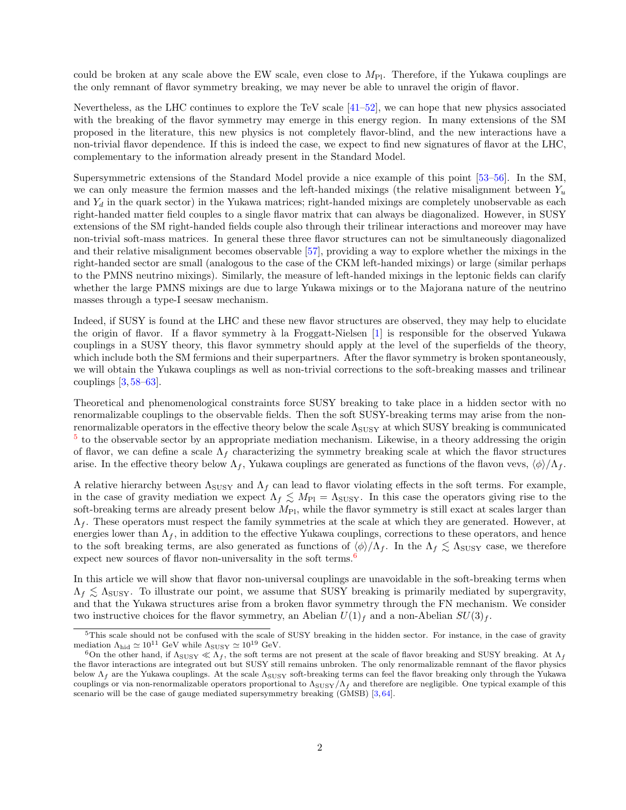could be broken at any scale above the EW scale, even close to  $M_{\text{Pl}}$ . Therefore, if the Yukawa couplings are the only remnant of flavor symmetry breaking, we may never be able to unravel the origin of flavor.

Nevertheless, as the LHC continues to explore the TeV scale [41–52], we can hope that new physics associated with the breaking of the flavor symmetry may emerge in this energy region. In many extensions of the SM proposed in the literature, this new physics is not completely flavor-blind, and the new interactions have a non-trivial flavor dependence. If this is indeed the case, we expect to find new signatures of flavor at the LHC, complementary to the information already present in the Standard Model.

Supersymmetric extensions of the Standard Model provide a nice example of this point [53–56]. In the SM, we can only measure the fermion masses and the left-handed mixings (the relative misalignment between  $Y_u$ and  $Y_d$  in the quark sector) in the Yukawa matrices; right-handed mixings are completely unobservable as each right-handed matter field couples to a single flavor matrix that can always be diagonalized. However, in SUSY extensions of the SM right-handed fields couple also through their trilinear interactions and moreover may have non-trivial soft-mass matrices. In general these three flavor structures can not be simultaneously diagonalized and their relative misalignment becomes observable [57], providing a way to explore whether the mixings in the right-handed sector are small (analogous to the case of the CKM left-handed mixings) or large (similar perhaps to the PMNS neutrino mixings). Similarly, the measure of left-handed mixings in the leptonic fields can clarify whether the large PMNS mixings are due to large Yukawa mixings or to the Majorana nature of the neutrino masses through a type-I seesaw mechanism.

Indeed, if SUSY is found at the LHC and these new flavor structures are observed, they may help to elucidate the origin of flavor. If a flavor symmetry à la Froggatt-Nielsen [1] is responsible for the observed Yukawa couplings in a SUSY theory, this flavor symmetry should apply at the level of the superfields of the theory, which include both the SM fermions and their superpartners. After the flavor symmetry is broken spontaneously, we will obtain the Yukawa couplings as well as non-trivial corrections to the soft-breaking masses and trilinear couplings [3, 58–63].

Theoretical and phenomenological constraints force SUSY breaking to take place in a hidden sector with no renormalizable couplings to the observable fields. Then the soft SUSY-breaking terms may arise from the nonrenormalizable operators in the effective theory below the scale  $\Lambda_{SUSY}$  at which SUSY breaking is communicated <sup>5</sup> to the observable sector by an appropriate mediation mechanism. Likewise, in a theory addressing the origin of flavor, we can define a scale  $\Lambda_f$  characterizing the symmetry breaking scale at which the flavor structures arise. In the effective theory below  $\Lambda_f$ , Yukawa couplings are generated as functions of the flavon vevs,  $\langle \phi \rangle / \Lambda_f$ .

A relative hierarchy between  $\Lambda_{SUSY}$  and  $\Lambda_f$  can lead to flavor violating effects in the soft terms. For example, in the case of gravity mediation we expect  $\Lambda_f \lesssim M_{\text{Pl}} = \Lambda_{\text{SUSY}}$ . In this case the operators giving rise to the soft-breaking terms are already present below  $M_{\text{Pl}}$ , while the flavor symmetry is still exact at scales larger than  $\Lambda_f$ . These operators must respect the family symmetries at the scale at which they are generated. However, at energies lower than  $\Lambda_f$ , in addition to the effective Yukawa couplings, corrections to these operators, and hence to the soft breaking terms, are also generated as functions of  $\langle \phi \rangle / \Lambda_f$ . In the  $\Lambda_f \lesssim \Lambda_{\text{SUSY}}$  case, we therefore expect new sources of flavor non-universality in the soft terms.<sup>6</sup>

In this article we will show that flavor non-universal couplings are unavoidable in the soft-breaking terms when  $\Lambda_f \leq \Lambda_{\text{SUSY}}$ . To illustrate our point, we assume that SUSY breaking is primarily mediated by supergravity, and that the Yukawa structures arise from a broken flavor symmetry through the FN mechanism. We consider two instructive choices for the flavor symmetry, an Abelian  $U(1)_f$  and a non-Abelian  $SU(3)_f$ .

<sup>&</sup>lt;sup>5</sup>This scale should not be confused with the scale of SUSY breaking in the hidden sector. For instance, in the case of gravity mediation  $\Lambda_{\rm hid} \simeq 10^{11}$  GeV while  $\Lambda_{\rm SUSY} \simeq 10^{19}$  GeV.

<sup>&</sup>lt;sup>6</sup>On the other hand, if  $\Lambda_{\rm SUSY} \ll \Lambda_f$ , the soft terms are not present at the scale of flavor breaking and SUSY breaking. At  $\Lambda_f$ the flavor interactions are integrated out but SUSY still remains unbroken. The only renormalizable remnant of the flavor physics below  $\Lambda_f$  are the Yukawa couplings. At the scale  $\Lambda_{\text{SUSY}}$  soft-breaking terms can feel the flavor breaking only through the Yukawa couplings or via non-renormalizable operators proportional to  $\Lambda_{\rm SUSY}/\Lambda_f$  and therefore are negligible. One typical example of this scenario will be the case of gauge mediated supersymmetry breaking (GMSB) [3, 64].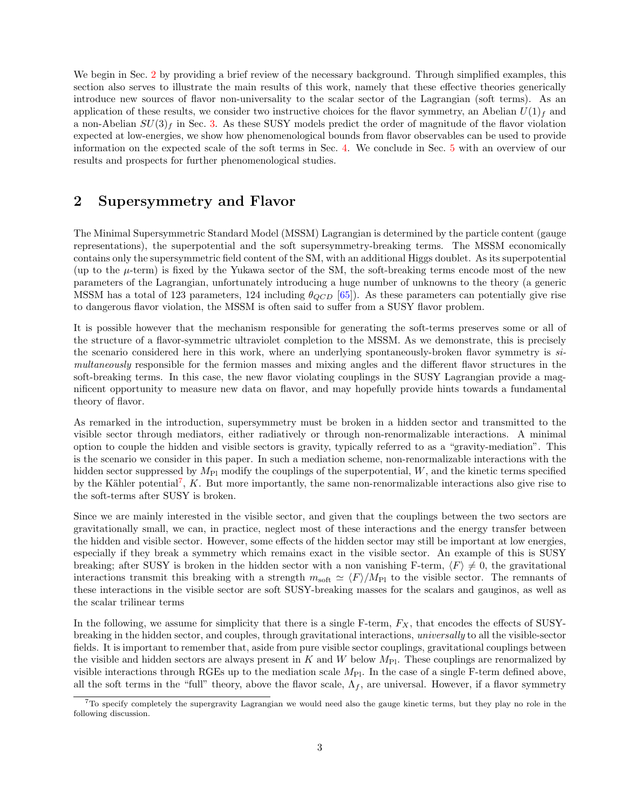We begin in Sec. 2 by providing a brief review of the necessary background. Through simplified examples, this section also serves to illustrate the main results of this work, namely that these effective theories generically introduce new sources of flavor non-universality to the scalar sector of the Lagrangian (soft terms). As an application of these results, we consider two instructive choices for the flavor symmetry, an Abelian  $U(1)<sub>f</sub>$  and a non-Abelian  $SU(3)<sub>f</sub>$  in Sec. 3. As these SUSY models predict the order of magnitude of the flavor violation expected at low-energies, we show how phenomenological bounds from flavor observables can be used to provide information on the expected scale of the soft terms in Sec. 4. We conclude in Sec. 5 with an overview of our results and prospects for further phenomenological studies.

# 2 Supersymmetry and Flavor

The Minimal Supersymmetric Standard Model (MSSM) Lagrangian is determined by the particle content (gauge representations), the superpotential and the soft supersymmetry-breaking terms. The MSSM economically contains only the supersymmetric field content of the SM, with an additional Higgs doublet. As its superpotential (up to the  $\mu$ -term) is fixed by the Yukawa sector of the SM, the soft-breaking terms encode most of the new parameters of the Lagrangian, unfortunately introducing a huge number of unknowns to the theory (a generic MSSM has a total of 123 parameters, 124 including  $\theta_{QCD}$  [65]). As these parameters can potentially give rise to dangerous flavor violation, the MSSM is often said to suffer from a SUSY flavor problem.

It is possible however that the mechanism responsible for generating the soft-terms preserves some or all of the structure of a flavor-symmetric ultraviolet completion to the MSSM. As we demonstrate, this is precisely the scenario considered here in this work, where an underlying spontaneously-broken flavor symmetry is simultaneously responsible for the fermion masses and mixing angles and the different flavor structures in the soft-breaking terms. In this case, the new flavor violating couplings in the SUSY Lagrangian provide a magnificent opportunity to measure new data on flavor, and may hopefully provide hints towards a fundamental theory of flavor.

As remarked in the introduction, supersymmetry must be broken in a hidden sector and transmitted to the visible sector through mediators, either radiatively or through non-renormalizable interactions. A minimal option to couple the hidden and visible sectors is gravity, typically referred to as a "gravity-mediation". This is the scenario we consider in this paper. In such a mediation scheme, non-renormalizable interactions with the hidden sector suppressed by  $M_{\text{Pl}}$  modify the couplings of the superpotential, W, and the kinetic terms specified by the Kähler potential<sup>7</sup>,  $K$ . But more importantly, the same non-renormalizable interactions also give rise to the soft-terms after SUSY is broken.

Since we are mainly interested in the visible sector, and given that the couplings between the two sectors are gravitationally small, we can, in practice, neglect most of these interactions and the energy transfer between the hidden and visible sector. However, some effects of the hidden sector may still be important at low energies, especially if they break a symmetry which remains exact in the visible sector. An example of this is SUSY breaking; after SUSY is broken in the hidden sector with a non vanishing F-term,  $\langle F \rangle \neq 0$ , the gravitational interactions transmit this breaking with a strength  $m_{\text{soft}} \simeq \langle F \rangle / M_{\text{Pl}}$  to the visible sector. The remnants of these interactions in the visible sector are soft SUSY-breaking masses for the scalars and gauginos, as well as the scalar trilinear terms

In the following, we assume for simplicity that there is a single F-term,  $F_X$ , that encodes the effects of SUSYbreaking in the hidden sector, and couples, through gravitational interactions, universally to all the visible-sector fields. It is important to remember that, aside from pure visible sector couplings, gravitational couplings between the visible and hidden sectors are always present in K and W below  $M_{\text{Pl}}$ . These couplings are renormalized by visible interactions through RGEs up to the mediation scale  $M_{\text{Pl}}$ . In the case of a single F-term defined above, all the soft terms in the "full" theory, above the flavor scale,  $\Lambda_f$ , are universal. However, if a flavor symmetry

<sup>7</sup>To specify completely the supergravity Lagrangian we would need also the gauge kinetic terms, but they play no role in the following discussion.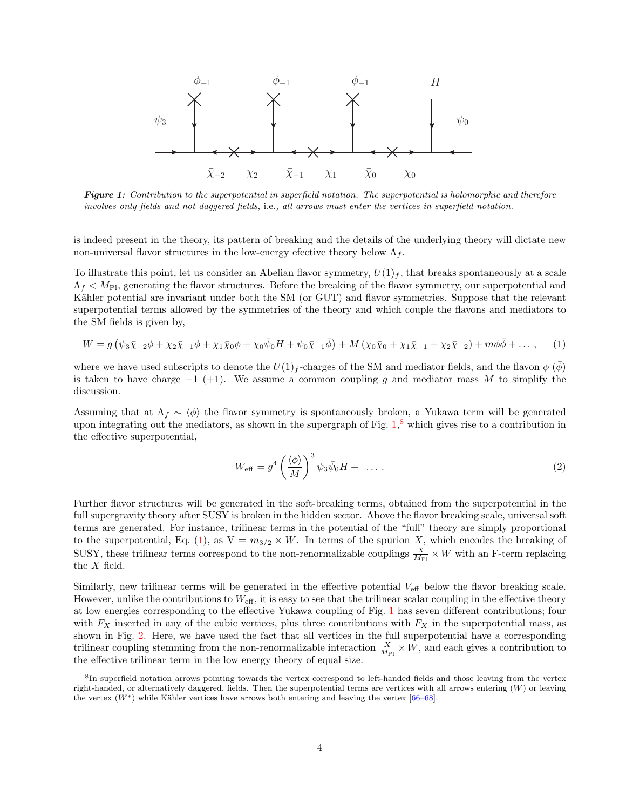

Figure 1: Contribution to the superpotential in superfield notation. The superpotential is holomorphic and therefore involves only fields and not daggered fields, i.e., all arrows must enter the vertices in superfield notation.

is indeed present in the theory, its pattern of breaking and the details of the underlying theory will dictate new non-universal flavor structures in the low-energy efective theory below  $\Lambda_f$ .

To illustrate this point, let us consider an Abelian flavor symmetry,  $U(1)_f$ , that breaks spontaneously at a scale  $\Lambda_f < M_{\rm Pl}$ , generating the flavor structures. Before the breaking of the flavor symmetry, our superpotential and Kähler potential are invariant under both the SM (or GUT) and flavor symmetries. Suppose that the relevant superpotential terms allowed by the symmetries of the theory and which couple the flavons and mediators to the SM fields is given by,

$$
W = g \left( \psi_3 \bar{\chi}_{-2} \phi + \chi_2 \bar{\chi}_{-1} \phi + \chi_1 \bar{\chi}_0 \phi + \chi_0 \bar{\psi}_0 H + \psi_0 \bar{\chi}_{-1} \bar{\phi} \right) + M \left( \chi_0 \bar{\chi}_0 + \chi_1 \bar{\chi}_{-1} + \chi_2 \bar{\chi}_{-2} \right) + m \phi \bar{\phi} + \dots,
$$
 (1)

where we have used subscripts to denote the  $U(1)<sub>f</sub>$ -charges of the SM and mediator fields, and the flavon  $\phi$  ( $\phi$ ) is taken to have charge  $-1$  (+1). We assume a common coupling g and mediator mass M to simplify the discussion.

Assuming that at  $\Lambda_f \sim \langle \phi \rangle$  the flavor symmetry is spontaneously broken, a Yukawa term will be generated upon integrating out the mediators, as shown in the supergraph of Fig. 1, <sup>8</sup> which gives rise to a contribution in the effective superpotential,

$$
W_{\text{eff}} = g^4 \left(\frac{\langle \phi \rangle}{M}\right)^3 \psi_3 \bar{\psi}_0 H + \dots \tag{2}
$$

Further flavor structures will be generated in the soft-breaking terms, obtained from the superpotential in the full supergravity theory after SUSY is broken in the hidden sector. Above the flavor breaking scale, universal soft terms are generated. For instance, trilinear terms in the potential of the "full" theory are simply proportional to the superpotential, Eq. (1), as  $V = m_{3/2} \times W$ . In terms of the spurion X, which encodes the breaking of SUSY, these trilinear terms correspond to the non-renormalizable couplings  $\frac{X}{M_{\text{Pl}}} \times W$  with an F-term replacing the X field.

Similarly, new trilinear terms will be generated in the effective potential  $V_{\text{eff}}$  below the flavor breaking scale. However, unlike the contributions to  $W_{\text{eff}}$ , it is easy to see that the trilinear scalar coupling in the effective theory at low energies corresponding to the effective Yukawa coupling of Fig. 1 has seven different contributions; four with  $F_X$  inserted in any of the cubic vertices, plus three contributions with  $F_X$  in the superpotential mass, as shown in Fig. 2. Here, we have used the fact that all vertices in the full superpotential have a corresponding trilinear coupling stemming from the non-renormalizable interaction  $\frac{X}{M_{\text{Pl}}} \times W$ , and each gives a contribution to the effective trilinear term in the low energy theory of equal size.

<sup>&</sup>lt;sup>8</sup>In superfield notation arrows pointing towards the vertex correspond to left-handed fields and those leaving from the vertex right-handed, or alternatively daggered, fields. Then the superpotential terms are vertices with all arrows entering  $(W)$  or leaving the vertex  $(W^*)$  while Kähler vertices have arrows both entering and leaving the vertex [66–68].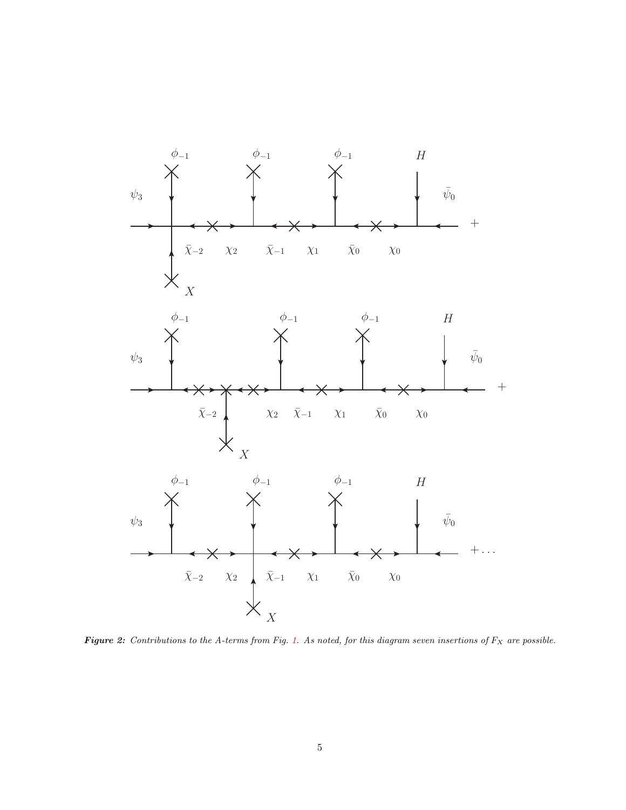

Figure 2: Contributions to the A-terms from Fig. 1. As noted, for this diagram seven insertions of  $F_X$  are possible.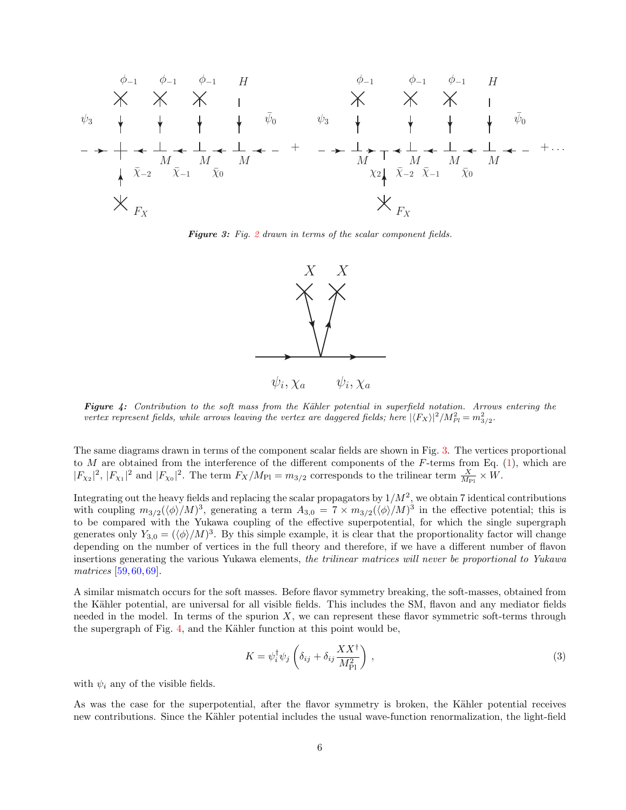

Figure 3: Fig. 2 drawn in terms of the scalar component fields.



Figure 4: Contribution to the soft mass from the Kähler potential in superfield notation. Arrows entering the vertex represent fields, while arrows leaving the vertex are daggered fields; here  $|\langle F_X\rangle|^2/M_{Pl}^2 = m_{3/2}^2$ .

The same diagrams drawn in terms of the component scalar fields are shown in Fig. 3. The vertices proportional to M are obtained from the interference of the different components of the F-terms from Eq.  $(1)$ , which are  $|F_{\chi_2}|^2$ ,  $|F_{\chi_1}|^2$  and  $|F_{\chi_0}|^2$ . The term  $F_X/M_{\text{Pl}} = m_{3/2}$  corresponds to the trilinear term  $\frac{X}{M_{\text{Pl}}} \times W$ .

Integrating out the heavy fields and replacing the scalar propagators by  $1/M^2$ , we obtain 7 identical contributions with coupling  $m_{3/2}(\langle\phi\rangle/M)^3$ , generating a term  $A_{3,0} = 7 \times m_{3/2}(\langle\phi\rangle/M)^3$  in the effective potential; this is to be compared with the Yukawa coupling of the effective superpotential, for which the single supergraph generates only  $Y_{3,0} = (\langle \phi \rangle/M)^3$ . By this simple example, it is clear that the proportionality factor will change depending on the number of vertices in the full theory and therefore, if we have a different number of flavon insertions generating the various Yukawa elements, the trilinear matrices will never be proportional to Yukawa matrices [59, 60, 69].

A similar mismatch occurs for the soft masses. Before flavor symmetry breaking, the soft-masses, obtained from the Kähler potential, are universal for all visible fields. This includes the SM, flavon and any mediator fields needed in the model. In terms of the spurion  $X$ , we can represent these flavor symmetric soft-terms through the supergraph of Fig. 4, and the Kähler function at this point would be,

$$
K = \psi_i^{\dagger} \psi_j \left( \delta_{ij} + \delta_{ij} \frac{XX^{\dagger}}{M_{\rm Pl}^2} \right) , \qquad (3)
$$

with  $\psi_i$  any of the visible fields.

As was the case for the superpotential, after the flavor symmetry is broken, the Kähler potential receives new contributions. Since the Kähler potential includes the usual wave-function renormalization, the light-field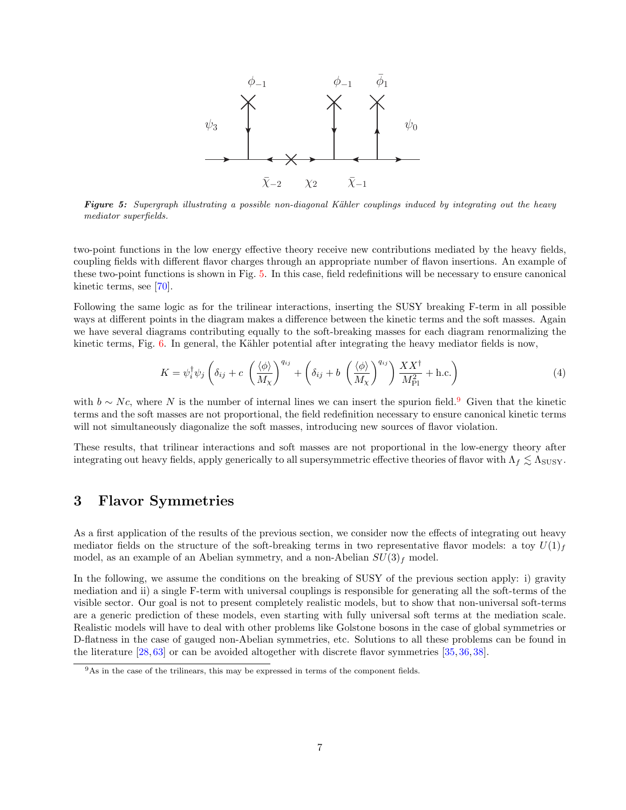

Figure 5: Supergraph illustrating a possible non-diagonal Kähler couplings induced by integrating out the heavy mediator superfields.

two-point functions in the low energy effective theory receive new contributions mediated by the heavy fields, coupling fields with different flavor charges through an appropriate number of flavon insertions. An example of these two-point functions is shown in Fig. 5. In this case, field redefinitions will be necessary to ensure canonical kinetic terms, see [70].

Following the same logic as for the trilinear interactions, inserting the SUSY breaking F-term in all possible ways at different points in the diagram makes a difference between the kinetic terms and the soft masses. Again we have several diagrams contributing equally to the soft-breaking masses for each diagram renormalizing the kinetic terms, Fig. 6. In general, the Kähler potential after integrating the heavy mediator fields is now,

$$
K = \psi_i^{\dagger} \psi_j \left( \delta_{ij} + c \left( \frac{\langle \phi \rangle}{M_\chi} \right)^{q_{ij}} + \left( \delta_{ij} + b \left( \frac{\langle \phi \rangle}{M_\chi} \right)^{q_{ij}} \right) \frac{XX^{\dagger}}{M_{\text{Pl}}^2} + \text{h.c.} \right)
$$
(4)

with  $b \sim N_c$ , where N is the number of internal lines we can insert the spurion field.<sup>9</sup> Given that the kinetic terms and the soft masses are not proportional, the field redefinition necessary to ensure canonical kinetic terms will not simultaneously diagonalize the soft masses, introducing new sources of flavor violation.

These results, that trilinear interactions and soft masses are not proportional in the low-energy theory after integrating out heavy fields, apply generically to all supersymmetric effective theories of flavor with  $\Lambda_f \lesssim \Lambda_{SUSY}$ .

# 3 Flavor Symmetries

As a first application of the results of the previous section, we consider now the effects of integrating out heavy mediator fields on the structure of the soft-breaking terms in two representative flavor models: a toy  $U(1)_f$ model, as an example of an Abelian symmetry, and a non-Abelian  $SU(3)<sub>f</sub>$  model.

In the following, we assume the conditions on the breaking of SUSY of the previous section apply: i) gravity mediation and ii) a single F-term with universal couplings is responsible for generating all the soft-terms of the visible sector. Our goal is not to present completely realistic models, but to show that non-universal soft-terms are a generic prediction of these models, even starting with fully universal soft terms at the mediation scale. Realistic models will have to deal with other problems like Golstone bosons in the case of global symmetries or D-flatness in the case of gauged non-Abelian symmetries, etc. Solutions to all these problems can be found in the literature [28, 63] or can be avoided altogether with discrete flavor symmetries [35, 36, 38].

 $9As$  in the case of the trilinears, this may be expressed in terms of the component fields.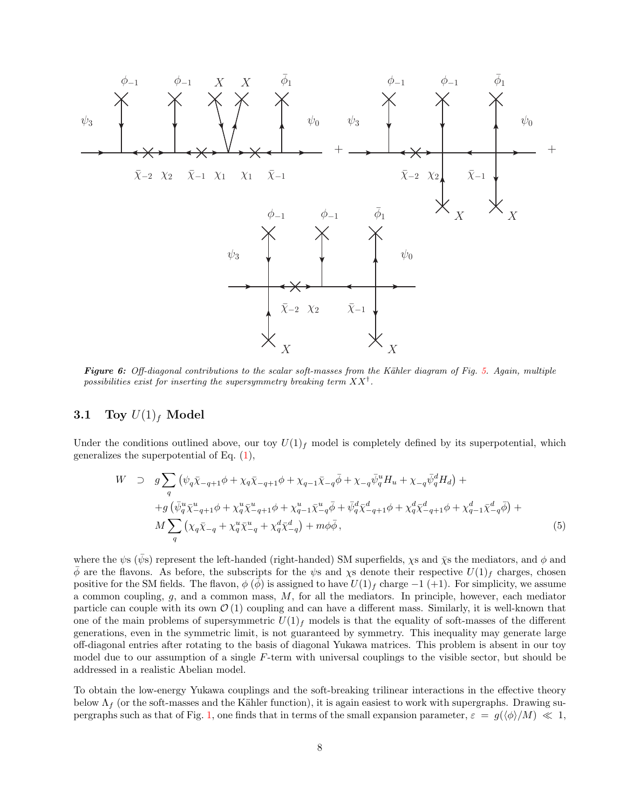

Figure 6: Off-diagonal contributions to the scalar soft-masses from the Kähler diagram of Fig. 5. Again, multiple possibilities exist for inserting the supersymmetry breaking term  $XX^{\dagger}$ .

### 3.1 Toy  $U(1)_f$  Model

Under the conditions outlined above, our toy  $U(1)<sub>f</sub>$  model is completely defined by its superpotential, which generalizes the superpotential of Eq.  $(1)$ ,

$$
W \supset g \sum_{q} (\psi_{q} \bar{\chi}_{-q+1} \phi + \chi_{q} \bar{\chi}_{-q+1} \phi + \chi_{q-1} \bar{\chi}_{-q} \bar{\phi} + \chi_{-q} \bar{\psi}_{q}^{u} H_{u} + \chi_{-q} \bar{\psi}_{q}^{d} H_{d}) +
$$
  
+
$$
g (\bar{\psi}_{q}^{u} \bar{\chi}_{-q+1}^{u} \phi + \chi_{q}^{u} \bar{\chi}_{-q+1}^{u} \phi + \chi_{q-1}^{u} \bar{\chi}_{-q}^{u} \bar{\phi} + \bar{\psi}_{q}^{d} \bar{\chi}_{-q+1}^{d} \phi + \chi_{q}^{d} \bar{\chi}_{-q+1}^{d} \phi + \chi_{q-1}^{d} \bar{\chi}_{-q}^{d} \bar{\phi}) +
$$
  

$$
M \sum_{q} (\chi_{q} \bar{\chi}_{-q} + \chi_{q}^{u} \bar{\chi}_{-q}^{u} + \chi_{q}^{d} \bar{\chi}_{-q}^{d}) + m \phi \bar{\phi}, \qquad (5)
$$

where the  $\psi$ s ( $\bar{\psi}$ s) represent the left-handed (right-handed) SM superfields,  $\chi$ s and  $\bar{\chi}$ s the mediators, and  $\phi$  and  $\phi$  are the flavons. As before, the subscripts for the  $\psi$ s and  $\chi$ s denote their respective  $U(1)<sub>f</sub>$  charges, chosen positive for the SM fields. The flavon,  $\phi(\phi)$  is assigned to have  $U(1)_f$  charge  $-1$  (+1). For simplicity, we assume a common coupling,  $g$ , and a common mass,  $M$ , for all the mediators. In principle, however, each mediator particle can couple with its own  $\mathcal{O}(1)$  coupling and can have a different mass. Similarly, it is well-known that one of the main problems of supersymmetric  $U(1)_f$  models is that the equality of soft-masses of the different generations, even in the symmetric limit, is not guaranteed by symmetry. This inequality may generate large off-diagonal entries after rotating to the basis of diagonal Yukawa matrices. This problem is absent in our toy model due to our assumption of a single F-term with universal couplings to the visible sector, but should be addressed in a realistic Abelian model.

To obtain the low-energy Yukawa couplings and the soft-breaking trilinear interactions in the effective theory below  $\Lambda_f$  (or the soft-masses and the Kähler function), it is again easiest to work with supergraphs. Drawing supergraphs such as that of Fig. 1, one finds that in terms of the small expansion parameter,  $\varepsilon = g(\langle \phi \rangle/M) \ll 1$ ,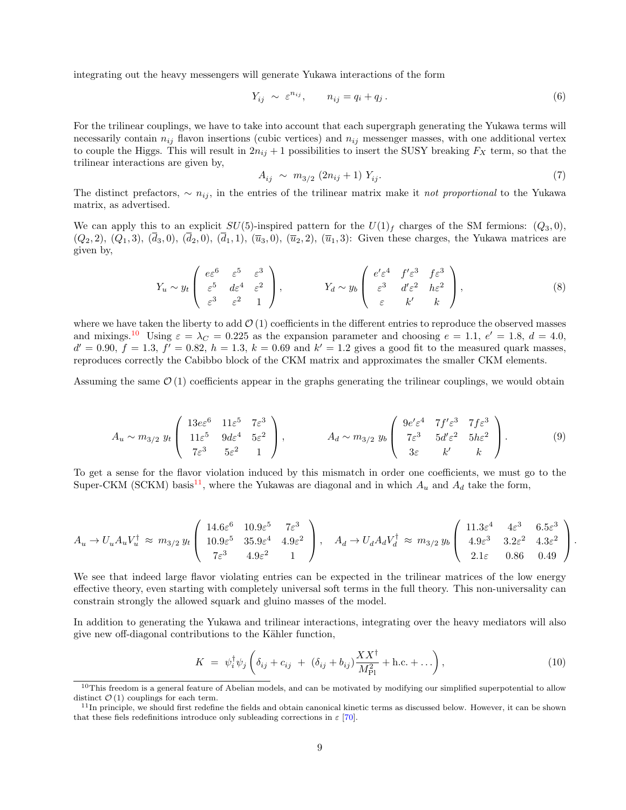integrating out the heavy messengers will generate Yukawa interactions of the form

$$
Y_{ij} \sim \varepsilon^{n_{ij}}, \qquad n_{ij} = q_i + q_j. \tag{6}
$$

For the trilinear couplings, we have to take into account that each supergraph generating the Yukawa terms will necessarily contain  $n_{ij}$  flavon insertions (cubic vertices) and  $n_{ij}$  messenger masses, with one additional vertex to couple the Higgs. This will result in  $2n_{ij} + 1$  possibilities to insert the SUSY breaking  $F_X$  term, so that the trilinear interactions are given by,

$$
A_{ij} \sim m_{3/2} (2n_{ij} + 1) Y_{ij}.
$$
 (7)

The distinct prefactors,  $\sim n_{ij}$ , in the entries of the trilinear matrix make it not proportional to the Yukawa matrix, as advertised.

We can apply this to an explicit  $SU(5)$ -inspired pattern for the  $U(1)<sub>f</sub>$  charges of the SM fermions:  $(Q_3, 0)$ ,  $(Q_2, 2), (Q_1, 3), (\overline{d}_3, 0), (\overline{d}_2, 0), (\overline{d}_1, 1), (\overline{u}_3, 0), (\overline{u}_2, 2), (\overline{u}_1, 3)$ : Given these charges, the Yukawa matrices are given by,

$$
Y_u \sim y_t \begin{pmatrix} e\varepsilon^6 & \varepsilon^5 & \varepsilon^3 \\ \varepsilon^5 & d\varepsilon^4 & \varepsilon^2 \\ \varepsilon^3 & \varepsilon^2 & 1 \end{pmatrix}, \qquad Y_d \sim y_b \begin{pmatrix} e'\varepsilon^4 & f'\varepsilon^3 & f\varepsilon^3 \\ \varepsilon^3 & d'\varepsilon^2 & h\varepsilon^2 \\ \varepsilon & k' & k \end{pmatrix}, \tag{8}
$$

where we have taken the liberty to add  $\mathcal{O}(1)$  coefficients in the different entries to reproduce the observed masses and mixings.<sup>10</sup> Using  $\varepsilon = \lambda_C = 0.225$  as the expansion parameter and choosing  $e = 1.1, e' = 1.8, d = 4.0,$  $d' = 0.90, f = 1.3, f' = 0.82, h = 1.3, k = 0.69$  and  $k' = 1.2$  gives a good fit to the measured quark masses, reproduces correctly the Cabibbo block of the CKM matrix and approximates the smaller CKM elements.

Assuming the same  $\mathcal{O}(1)$  coefficients appear in the graphs generating the trilinear couplings, we would obtain

$$
A_u \sim m_{3/2} y_t \begin{pmatrix} 13e\varepsilon^6 & 11\varepsilon^5 & 7\varepsilon^3 \\ 11\varepsilon^5 & 9d\varepsilon^4 & 5\varepsilon^2 \\ 7\varepsilon^3 & 5\varepsilon^2 & 1 \end{pmatrix}, \qquad A_d \sim m_{3/2} y_b \begin{pmatrix} 9e'\varepsilon^4 & 7f'\varepsilon^3 & 7f\varepsilon^3 \\ 7\varepsilon^3 & 5d'\varepsilon^2 & 5h\varepsilon^2 \\ 3\varepsilon & k' & k \end{pmatrix}.
$$
 (9)

To get a sense for the flavor violation induced by this mismatch in order one coefficients, we must go to the Super-CKM (SCKM) basis<sup>11</sup>, where the Yukawas are diagonal and in which  $A_u$  and  $A_d$  take the form,

$$
A_u \to U_u A_u V_u^{\dagger} \approx m_{3/2} y_t \begin{pmatrix} 14.6\varepsilon^6 & 10.9\varepsilon^5 & 7\varepsilon^3 \\ 10.9\varepsilon^5 & 35.9\varepsilon^4 & 4.9\varepsilon^2 \\ 7\varepsilon^3 & 4.9\varepsilon^2 & 1 \end{pmatrix}, \quad A_d \to U_d A_d V_d^{\dagger} \approx m_{3/2} y_b \begin{pmatrix} 11.3\varepsilon^4 & 4\varepsilon^3 & 6.5\varepsilon^3 \\ 4.9\varepsilon^3 & 3.2\varepsilon^2 & 4.3\varepsilon^2 \\ 2.1\varepsilon & 0.86 & 0.49 \end{pmatrix}.
$$

We see that indeed large flavor violating entries can be expected in the trilinear matrices of the low energy effective theory, even starting with completely universal soft terms in the full theory. This non-universality can constrain strongly the allowed squark and gluino masses of the model.

In addition to generating the Yukawa and trilinear interactions, integrating over the heavy mediators will also give new off-diagonal contributions to the Kähler function,

$$
K = \psi_i^{\dagger} \psi_j \left( \delta_{ij} + c_{ij} + (\delta_{ij} + b_{ij}) \frac{XX^{\dagger}}{M_{\text{Pl}}^2} + \text{h.c.} + \dots \right), \tag{10}
$$

 $10$ This freedom is a general feature of Abelian models, and can be motivated by modifying our simplified superpotential to allow distinct  $\mathcal{O}(1)$  couplings for each term.

 $11$ In principle, we should first redefine the fields and obtain canonical kinetic terms as discussed below. However, it can be shown that these fiels redefinitions introduce only subleading corrections in  $\varepsilon$  [70].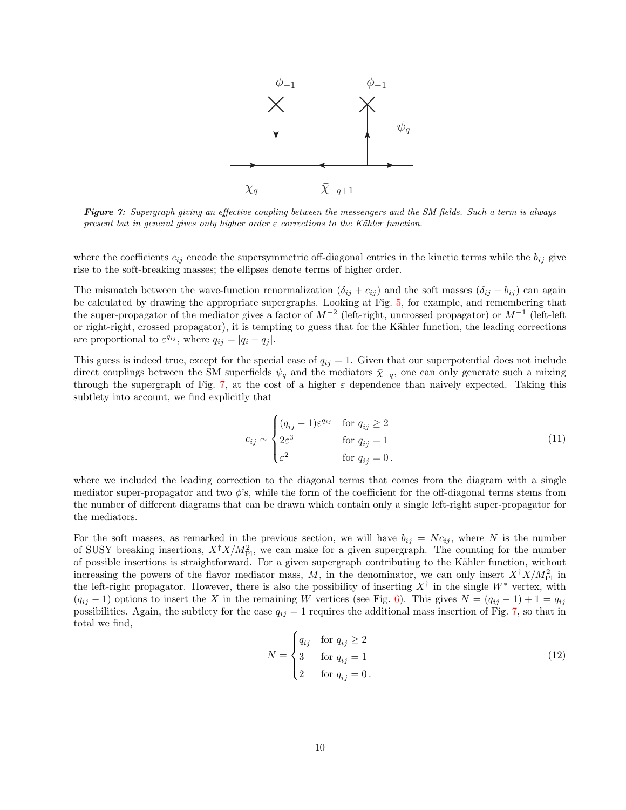

Figure 7: Supergraph giving an effective coupling between the messengers and the SM fields. Such a term is always present but in general gives only higher order  $\varepsilon$  corrections to the Kähler function.

where the coefficients  $c_{ij}$  encode the supersymmetric off-diagonal entries in the kinetic terms while the  $b_{ij}$  give rise to the soft-breaking masses; the ellipses denote terms of higher order.

The mismatch between the wave-function renormalization  $(\delta_{ij} + c_{ij})$  and the soft masses  $(\delta_{ij} + b_{ij})$  can again be calculated by drawing the appropriate supergraphs. Looking at Fig. 5, for example, and remembering that the super-propagator of the mediator gives a factor of  $M^{-2}$  (left-right, uncrossed propagator) or  $M^{-1}$  (left-left or right-right, crossed propagator), it is tempting to guess that for the Kähler function, the leading corrections are proportional to  $\varepsilon^{q_{ij}}$ , where  $q_{ij} = |q_i - q_j|$ .

This guess is indeed true, except for the special case of  $q_{ij} = 1$ . Given that our superpotential does not include direct couplings between the SM superfields  $\psi_q$  and the mediators  $\bar{\chi}_{-q}$ , one can only generate such a mixing through the supergraph of Fig. 7, at the cost of a higher  $\varepsilon$  dependence than naively expected. Taking this subtlety into account, we find explicitly that

$$
c_{ij} \sim \begin{cases} (q_{ij} - 1)\varepsilon^{q_{ij}} & \text{for } q_{ij} \ge 2\\ 2\varepsilon^3 & \text{for } q_{ij} = 1\\ \varepsilon^2 & \text{for } q_{ij} = 0 \,. \end{cases}
$$
 (11)

where we included the leading correction to the diagonal terms that comes from the diagram with a single mediator super-propagator and two  $\phi$ 's, while the form of the coefficient for the off-diagonal terms stems from the number of different diagrams that can be drawn which contain only a single left-right super-propagator for the mediators.

For the soft masses, as remarked in the previous section, we will have  $b_{ij} = N c_{ij}$ , where N is the number of SUSY breaking insertions,  $X^{\dagger}X/M_{\text{Pl}}^2$ , we can make for a given supergraph. The counting for the number of possible insertions is straightforward. For a given supergraph contributing to the Kähler function, without increasing the powers of the flavor mediator mass, M, in the denominator, we can only insert  $X^{\dagger}X/M_{\text{Pl}}^2$  in the left-right propagator. However, there is also the possibility of inserting  $X^{\dagger}$  in the single  $W^*$  vertex, with  $(q_{ij} - 1)$  options to insert the X in the remaining W vertices (see Fig. 6). This gives  $N = (q_{ij} - 1) + 1 = q_{ij}$ possibilities. Again, the subtlety for the case  $q_{ij} = 1$  requires the additional mass insertion of Fig. 7, so that in total we find,

$$
N = \begin{cases} q_{ij} & \text{for } q_{ij} \ge 2\\ 3 & \text{for } q_{ij} = 1\\ 2 & \text{for } q_{ij} = 0 \end{cases} \tag{12}
$$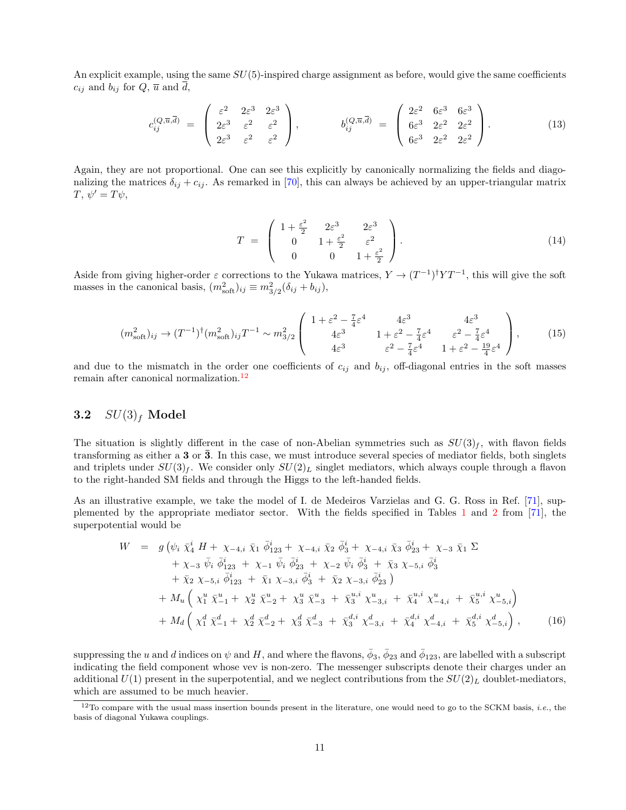An explicit example, using the same  $SU(5)$ -inspired charge assignment as before, would give the same coefficients  $c_{ij}$  and  $b_{ij}$  for  $Q$ ,  $\overline{u}$  and  $d$ ,

$$
c_{ij}^{(Q,\overline{u},\overline{d})} = \begin{pmatrix} \varepsilon^2 & 2\varepsilon^3 & 2\varepsilon^3 \\ 2\varepsilon^3 & \varepsilon^2 & \varepsilon^2 \\ 2\varepsilon^3 & \varepsilon^2 & \varepsilon^2 \end{pmatrix}, \qquad b_{ij}^{(Q,\overline{u},\overline{d})} = \begin{pmatrix} 2\varepsilon^2 & 6\varepsilon^3 & 6\varepsilon^3 \\ 6\varepsilon^3 & 2\varepsilon^2 & 2\varepsilon^2 \\ 6\varepsilon^3 & 2\varepsilon^2 & 2\varepsilon^2 \end{pmatrix}.
$$
 (13)

Again, they are not proportional. One can see this explicitly by canonically normalizing the fields and diagonalizing the matrices  $\delta_{ij} + c_{ij}$ . As remarked in [70], this can always be achieved by an upper-triangular matrix  $T, \psi' = T\psi,$ 

$$
T = \begin{pmatrix} 1 + \frac{\varepsilon^2}{2} & 2\varepsilon^3 & 2\varepsilon^3 \\ 0 & 1 + \frac{\varepsilon^2}{2} & \varepsilon^2 \\ 0 & 0 & 1 + \frac{\varepsilon^2}{2} \end{pmatrix}.
$$
 (14)

Aside from giving higher-order  $\varepsilon$  corrections to the Yukawa matrices,  $Y \to (T^{-1})^{\dagger}YT^{-1}$ , this will give the soft masses in the canonical basis,  $(m_{\text{soft}}^2)_{ij} \equiv m_{3/2}^2(\delta_{ij} + b_{ij}),$ 

$$
(m_{\text{soft}}^2)_{ij} \to (T^{-1})^{\dagger} (m_{\text{soft}}^2)_{ij} T^{-1} \sim m_{3/2}^2 \begin{pmatrix} 1 + \varepsilon^2 - \frac{7}{4} \varepsilon^4 & 4\varepsilon^3 & 4\varepsilon^3 \\ 4\varepsilon^3 & 1 + \varepsilon^2 - \frac{7}{4} \varepsilon^4 & \varepsilon^2 - \frac{7}{4} \varepsilon^4 \\ 4\varepsilon^3 & \varepsilon^2 - \frac{7}{4} \varepsilon^4 & 1 + \varepsilon^2 - \frac{19}{4} \varepsilon^4 \end{pmatrix},
$$
 (15)

and due to the mismatch in the order one coefficients of  $c_{ij}$  and  $b_{ij}$ , off-diagonal entries in the soft masses remain after canonical normalization.<sup>12</sup>

### 3.2  $SU(3)_f$  Model

The situation is slightly different in the case of non-Abelian symmetries such as  $SU(3)_f$ , with flavon fields transforming as either a  $3$  or  $\overline{3}$ . In this case, we must introduce several species of mediator fields, both singlets and triplets under  $SU(3)_f$ . We consider only  $SU(2)_L$  singlet mediators, which always couple through a flavon to the right-handed SM fields and through the Higgs to the left-handed fields.

As an illustrative example, we take the model of I. de Medeiros Varzielas and G. G. Ross in Ref. [71], supplemented by the appropriate mediator sector. With the fields specified in Tables 1 and 2 from [71], the superpotential would be

$$
W = g \left( \psi_i \ \bar{\chi}_4^i \ H + \chi_{-4,i} \ \bar{\chi}_1 \ \bar{\phi}_{123}^i + \chi_{-4,i} \ \bar{\chi}_2 \ \bar{\phi}_3^i + \chi_{-4,i} \ \bar{\chi}_3 \ \bar{\phi}_{23}^i + \chi_{-3} \ \bar{\chi}_1 \ \Sigma + \chi_{-3} \ \bar{\psi}_i \ \bar{\phi}_{123}^i \ H \ \chi_{-1} \ \bar{\psi}_i \ \bar{\phi}_{23}^i \ H \ \chi_{-2} \ \bar{\psi}_i \ \bar{\phi}_3^i \ H \ \bar{\chi}_3 \ \chi_{-5,i} \ \bar{\phi}_3^i + \bar{\chi}_2 \ \chi_{-5,i} \ \bar{\phi}_{123}^i \ H \ \bar{\chi}_1 \ \chi_{-3,i} \ \bar{\phi}_3^i \ H \ \bar{\chi}_2 \ \chi_{-3,i} \ \bar{\phi}_{23}^i \ \right) + M_u \left( \chi_1^u \ \bar{\chi}_{-1}^u \ H \ \chi_2^u \ \bar{\chi}_{-2}^u \ H \ \chi_3^u \ \bar{\chi}_{-3}^u \ H \ \bar{\chi}_3^u \ \chi_{-3,i}^u \ H \ \bar{\chi}_4^{u,i} \ \chi_{-4,i}^u \ H \ \bar{\chi}_5^{u,i} \ \chi_{-5,i}^u \right) + M_d \left( \chi_1^d \ \bar{\chi}_{-1}^d \ H \ \chi_2^d \ \bar{\chi}_{-2}^d \ H \ \chi_3^d \ \bar{\chi}_{-3}^d \ H \ \bar{\chi}_3^d \ \chi_{-3,i}^d \ H \ \bar{\chi}_4^{d,i} \ \chi_{-4,i}^d \ H \ \bar{\chi}_5^{d,i} \ \chi_{-5,i}^d \right), \tag{16}
$$

suppressing the  $u$  and  $d$  indices on  $\psi$  and  $H$ , and where the flavons,  $\bar{\phi}_3$ ,  $\bar{\phi}_{23}$  and  $\bar{\phi}_{123}$ , are labelled with a subscript indicating the field component whose vev is non-zero. The messenger subscripts denote their charges under an additional  $U(1)$  present in the superpotential, and we neglect contributions from the  $SU(2)_L$  doublet-mediators, which are assumed to be much heavier.

 $12$ To compare with the usual mass insertion bounds present in the literature, one would need to go to the SCKM basis, *i.e.*, the basis of diagonal Yukawa couplings.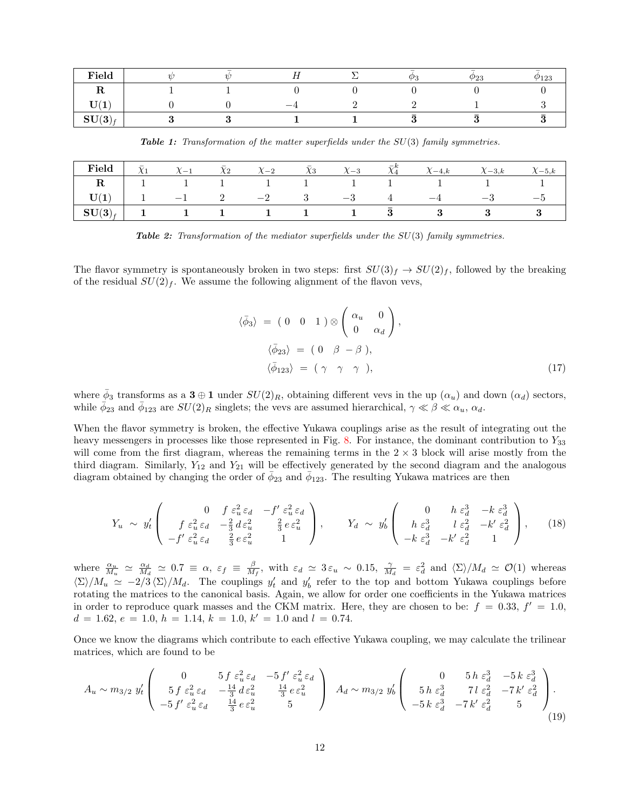| Field                                      | W |  | (Ds<br>٠.۱ | $\overline{\phantom{0}}$<br>$\varphi_{23}$ | $\varphi_{123}$ |
|--------------------------------------------|---|--|------------|--------------------------------------------|-----------------|
| τr                                         |   |  |            |                                            |                 |
| TT/4<br>' \ _ L<br>ັ                       |   |  |            |                                            |                 |
| $CTT(\Omega)$<br>$\mathbf{O}(\mathbf{O})f$ |   |  |            |                                            |                 |

Table 1: Transformation of the matter superfields under the SU(3) family symmetries.

|  |  |  |  | <b>Field</b> $\bar{\chi}_1$ $\bar{\chi}_2$ $\bar{\chi}_2$ $\bar{\chi}_3$ $\bar{\chi}_3$ $\bar{\chi}_4^k$ $\chi_{-4,k}$ $\chi_{-3,k}$ $\chi_{-5,k}$ |  |
|--|--|--|--|----------------------------------------------------------------------------------------------------------------------------------------------------|--|
|  |  |  |  |                                                                                                                                                    |  |
|  |  |  |  |                                                                                                                                                    |  |
|  |  |  |  | $\begin{array}{ c ccccccccccc }\hline \text{SU(3)}_{f} & 1 & 1 & 1 & 1 & 1 & 1 & 1 & \bar{3} & 3 & 3 & 3 \ \hline \end{array}$                     |  |

**Table 2:** Transformation of the mediator superfields under the  $SU(3)$  family symmetries.

The flavor symmetry is spontaneously broken in two steps: first  $SU(3)_f \to SU(2)_f$ , followed by the breaking of the residual  $SU(2)_f$ . We assume the following alignment of the flavon vevs,

 $\langle$ 

$$
\bar{\phi}_3 \rangle = (0 \ 0 \ 1) \otimes \begin{pmatrix} \alpha_u & 0 \\ 0 & \alpha_d \end{pmatrix},
$$
  

$$
\langle \bar{\phi}_{23} \rangle = (0 \ \beta - \beta),
$$
  

$$
\langle \bar{\phi}_{123} \rangle = (\gamma \ \gamma \ \gamma), \tag{17}
$$

where  $\bar{\phi}_3$  transforms as a  $3 \oplus 1$  under  $SU(2)_R$ , obtaining different vevs in the up  $(\alpha_u)$  and down  $(\alpha_d)$  sectors, while  $\phi_{23}$  and  $\phi_{123}$  are  $SU(2)_R$  singlets; the vevs are assumed hierarchical,  $\gamma \ll \beta \ll \alpha_u$ ,  $\alpha_d$ .

When the flavor symmetry is broken, the effective Yukawa couplings arise as the result of integrating out the heavy messengers in processes like those represented in Fig. 8. For instance, the dominant contribution to  $Y_{33}$ will come from the first diagram, whereas the remaining terms in the  $2 \times 3$  block will arise mostly from the third diagram. Similarly,  $Y_{12}$  and  $Y_{21}$  will be effectively generated by the second diagram and the analogous diagram obtained by changing the order of  $\bar{\phi}_{23}$  and  $\bar{\phi}_{123}$ . The resulting Yukawa matrices are then

$$
Y_u \sim y'_t \left( \begin{array}{ccc} 0 & f \varepsilon_u^2 \varepsilon_d & -f' \varepsilon_u^2 \varepsilon_d \\ f \varepsilon_u^2 \varepsilon_d & -\frac{2}{3} d \varepsilon_u^2 & \frac{2}{3} e \varepsilon_u^2 \\ -f' \varepsilon_u^2 \varepsilon_d & \frac{2}{3} e \varepsilon_u^2 & 1 \end{array} \right), \qquad Y_d \sim y'_b \left( \begin{array}{ccc} 0 & h \varepsilon_d^3 & -k \varepsilon_d^3 \\ h \varepsilon_d^3 & l \varepsilon_d^2 & -k' \varepsilon_d^2 \\ -k \varepsilon_d^3 & -k' \varepsilon_d^2 & 1 \end{array} \right), \qquad (18)
$$

where  $\frac{\alpha_u}{M_u} \simeq \frac{\alpha_d}{M_d} \simeq 0.7 \equiv \alpha$ ,  $\varepsilon_f \equiv \frac{\beta}{M_f}$ , with  $\varepsilon_d \simeq 3 \varepsilon_u \sim 0.15$ ,  $\frac{\gamma}{M_d} = \varepsilon_d^2$  and  $\langle \Sigma \rangle / M_d \simeq \mathcal{O}(1)$  whereas  $\langle \Sigma \rangle / M_u \simeq -2/3 \langle \Sigma \rangle / M_d$ . The couplings  $y'_t$  and  $y'_b$  refer to the top and bottom Yukawa couplings before rotating the matrices to the canonical basis. Again, we allow for order one coefficients in the Yukawa matrices in order to reproduce quark masses and the CKM matrix. Here, they are chosen to be:  $f = 0.33$ ,  $f' = 1.0$ ,  $d = 1.62, e = 1.0, h = 1.14, k = 1.0, k' = 1.0$  and  $l = 0.74$ .

Once we know the diagrams which contribute to each effective Yukawa coupling, we may calculate the trilinear matrices, which are found to be

$$
A_u \sim m_{3/2} \ y'_t \begin{pmatrix} 0 & 5f \ \epsilon_u^2 \epsilon_d & -5f' \ \epsilon_u^2 \epsilon_d & \frac{14}{3} \ \epsilon_u^2 & \frac{14}{3} \ \epsilon_u^2 & 0 & 5f' \ \epsilon_u^2 \epsilon_d & \frac{14}{3} \ \epsilon_u^2 & 5 & 5f' \ \epsilon_u^2 \epsilon_d & \frac{14}{3} \ \epsilon_u^2 & 5 & 5f' \end{pmatrix} A_d \sim m_{3/2} \ y'_b \begin{pmatrix} 0 & 5f \ \epsilon_d^3 & 7f \ \epsilon_d^2 & 7f' \ \epsilon_d^2 & 5 & 5f' \ \epsilon_d^3 & 7f \ \epsilon_d^2 & 5 & 5f' \ \epsilon_d^3 & 5 & 5f' \ \epsilon_d^4 & 5 & 5f' \ \epsilon_d^5 & 5 & 5f' \ \epsilon_d^6 & 5 & 5f' \ \epsilon_d^7 & 5 & 5f' \ \epsilon_d^8 & 5 & 5f' \ \epsilon_d^9 & 5 & 5f' \ \epsilon_d^1 & 5 & 5f' \ \epsilon_d^1 & 5 & 5f' \ \epsilon_d^2 & 5 & 5f' \ \epsilon_d^3 & 5 & 5f' \ \epsilon_d^4 & 5 & 5f' \ \epsilon_d^5 & 5 & 5f' \ \epsilon_d^6 & 5 & 5f' \ \epsilon_d^7 & 5 & 5f' \ \epsilon_d^8 & 5 & 5f' \ \epsilon_d^9 & 5 & 5f' \ \epsilon_d^1 & 5 & 5f' \ \epsilon_d^1 & 5 & 5f' \ \epsilon_d^2 & 5 & 5f' \ \epsilon_d^1 & 5 & 5f' \ \epsilon_d^2 & 5 & 5f' \ \epsilon_d^3 & 5 & 5f' \ \epsilon_d^4 & 5 & 5f' \ \epsilon_d^5 & 5 & 5f' \ \epsilon_d^6 & 5 & 5f' \ \epsilon_d^7 & 5 & 5f' \ \epsilon_d^8 & 5 & 5f' \ \epsilon_d^9 & 5 & 5f' \ \epsilon_d^1 & 5 & 5f' \ \epsilon_d^2 & 5 & 5f' \ \epsilon_d^1 & 5 & 5f' \ \epsilon_d^2 & 5 & 5f' \ \epsilon_d^1 & 5 & 5f' \ \epsilon_d^2 & 5 & 5f' \ \epsilon_d^2 & 5 & 5f' \ \epsilon_d^3 & 5 & 5f
$$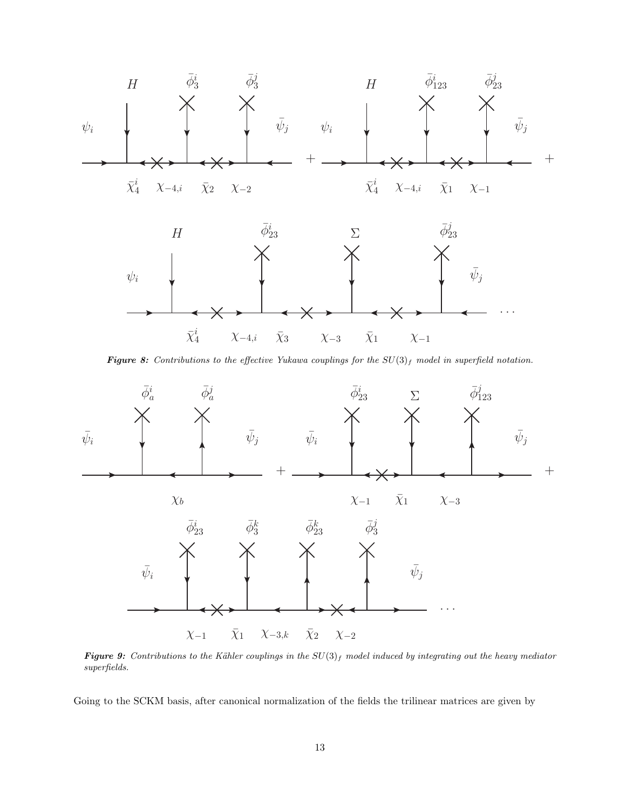

Figure 8: Contributions to the effective Yukawa couplings for the  $SU(3)_f$  model in superfield notation.



Figure 9: Contributions to the Kähler couplings in the  $SU(3)_f$  model induced by integrating out the heavy mediator superfields.

Going to the SCKM basis, after canonical normalization of the fields the trilinear matrices are given by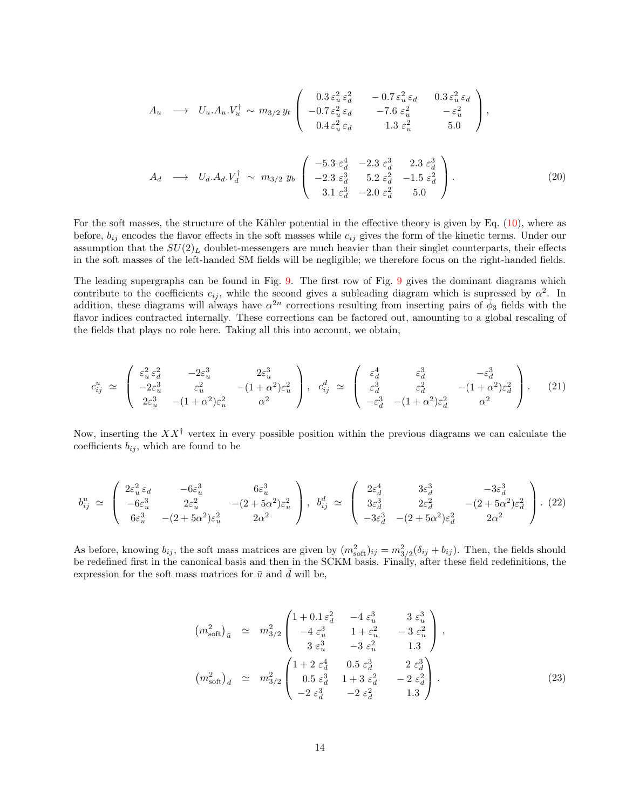$$
A_u \longrightarrow U_u.A_u.V_u^{\dagger} \sim m_{3/2} y_t \begin{pmatrix} 0.3 \varepsilon_u^2 \varepsilon_d^2 & -0.7 \varepsilon_u^2 \varepsilon_d & 0.3 \varepsilon_u^2 \varepsilon_d \\ -0.7 \varepsilon_u^2 \varepsilon_d & -7.6 \varepsilon_u^2 & -\varepsilon_u^2 \\ 0.4 \varepsilon_u^2 \varepsilon_d & 1.3 \varepsilon_u^2 & 5.0 \end{pmatrix},
$$

$$
A_d \longrightarrow U_d.A_d.V_d^{\dagger} \sim m_{3/2} y_b \begin{pmatrix} -5.3 \ \varepsilon_d^4 & -2.3 \ \varepsilon_d^3 & 5.2 \ \varepsilon_d^2 & 5.2 \ \varepsilon_d^2 & -1.5 \ \varepsilon_d^2 & -2.3 \ \varepsilon_d^3 & -2.0 \ \varepsilon_d^2 & 5.0 \end{pmatrix} . \tag{20}
$$

For the soft masses, the structure of the Kähler potential in the effective theory is given by Eq.  $(10)$ , where as before,  $b_{ij}$  encodes the flavor effects in the soft masses while  $c_{ij}$  gives the form of the kinetic terms. Under our assumption that the  $SU(2)_L$  doublet-messengers are much heavier than their singlet counterparts, their effects in the soft masses of the left-handed SM fields will be negligible; we therefore focus on the right-handed fields.

The leading supergraphs can be found in Fig. 9. The first row of Fig. 9 gives the dominant diagrams which contribute to the coefficients  $c_{ij}$ , while the second gives a subleading diagram which is supressed by  $\alpha^2$ . In addition, these diagrams will always have  $\alpha^{2n}$  corrections resulting from inserting pairs of  $\phi_3$  fields with the flavor indices contracted internally. These corrections can be factored out, amounting to a global rescaling of the fields that plays no role here. Taking all this into account, we obtain,

$$
c_{ij}^u \simeq \begin{pmatrix} \varepsilon_u^2 \varepsilon_d^2 & -2\varepsilon_u^3 & 2\varepsilon_u^3 \\ -2\varepsilon_u^3 & \varepsilon_u^2 & -(1+\alpha^2)\varepsilon_u^2 \\ 2\varepsilon_u^3 & -(1+\alpha^2)\varepsilon_u^2 & \alpha^2 \end{pmatrix}, \quad c_{ij}^d \simeq \begin{pmatrix} \varepsilon_d^4 & \varepsilon_d^3 & -\varepsilon_d^3 \\ \varepsilon_d^3 & \varepsilon_d^2 & -(1+\alpha^2)\varepsilon_d^2 \\ -\varepsilon_d^3 & -(1+\alpha^2)\varepsilon_d^2 & \alpha^2 \end{pmatrix}.
$$
 (21)

Now, inserting the  $XX^{\dagger}$  vertex in every possible position within the previous diagrams we can calculate the coefficients  $b_{ij}$ , which are found to be

$$
b_{ij}^{u} \simeq \begin{pmatrix} 2\varepsilon_{u}^{2}\varepsilon_{d} & -6\varepsilon_{u}^{3} & 6\varepsilon_{u}^{3} \\ -6\varepsilon_{u}^{3} & 2\varepsilon_{u}^{2} & -(2+5\alpha^{2})\varepsilon_{u}^{2} \\ 6\varepsilon_{u}^{3} & -(2+5\alpha^{2})\varepsilon_{u}^{2} & 2\alpha^{2} \end{pmatrix}, \ b_{ij}^{d} \simeq \begin{pmatrix} 2\varepsilon_{d}^{4} & 3\varepsilon_{d}^{3} & -3\varepsilon_{d}^{3} \\ 3\varepsilon_{d}^{3} & 2\varepsilon_{d}^{2} & -(2+5\alpha^{2})\varepsilon_{d}^{2} \\ -3\varepsilon_{d}^{3} & -(2+5\alpha^{2})\varepsilon_{d}^{2} & 2\alpha^{2} \end{pmatrix} . \tag{22}
$$

As before, knowing  $b_{ij}$ , the soft mass matrices are given by  $(m_{soft}^2)_{ij} = m_{3/2}^2(\delta_{ij} + b_{ij})$ . Then, the fields should be redefined first in the canonical basis and then in the SCKM basis. Finally, after these field redefinitions, the expression for the soft mass matrices for  $\bar{u}$  and  $\bar{d}$  will be,

$$
(m_{\text{soft}}^2)_{\bar{u}} \simeq m_{3/2}^2 \begin{pmatrix} 1+0.1 \,\varepsilon_d^2 & -4 \,\varepsilon_u^3 & 3 \,\varepsilon_u^3 \\ -4 \,\varepsilon_u^3 & 1+\varepsilon_u^2 & -3 \,\varepsilon_u^2 \\ 3 \,\varepsilon_u^3 & -3 \,\varepsilon_u^2 & 1.3 \end{pmatrix},
$$
  

$$
(m_{\text{soft}}^2)_{\bar{d}} \simeq m_{3/2}^2 \begin{pmatrix} 1+2 \,\varepsilon_d^4 & 0.5 \,\varepsilon_d^3 & 2 \,\varepsilon_d^3 \\ 0.5 \,\varepsilon_d^3 & 1+3 \,\varepsilon_d^2 & -2 \,\varepsilon_d^2 \\ -2 \,\varepsilon_d^3 & -2 \,\varepsilon_d^2 & 1.3 \end{pmatrix}.
$$
 (23)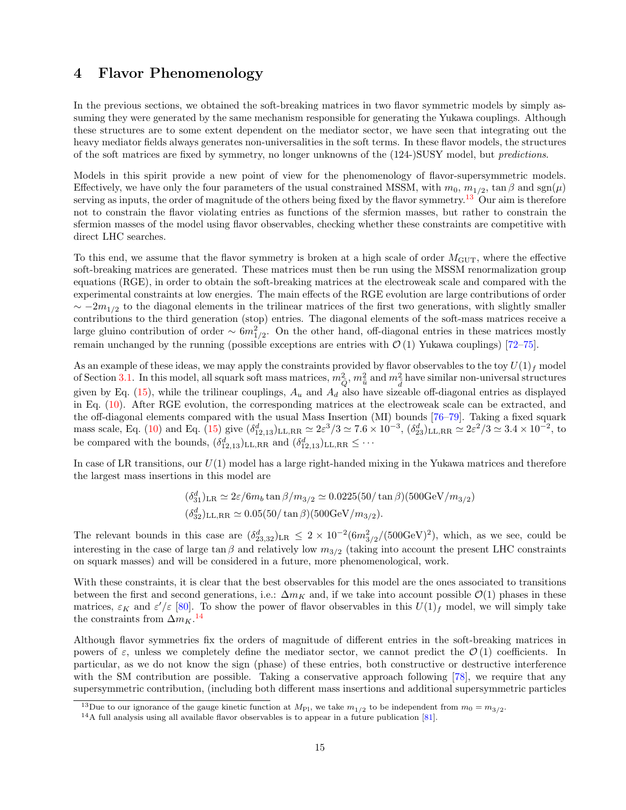# 4 Flavor Phenomenology

In the previous sections, we obtained the soft-breaking matrices in two flavor symmetric models by simply assuming they were generated by the same mechanism responsible for generating the Yukawa couplings. Although these structures are to some extent dependent on the mediator sector, we have seen that integrating out the heavy mediator fields always generates non-universalities in the soft terms. In these flavor models, the structures of the soft matrices are fixed by symmetry, no longer unknowns of the (124-)SUSY model, but predictions.

Models in this spirit provide a new point of view for the phenomenology of flavor-supersymmetric models. Effectively, we have only the four parameters of the usual constrained MSSM, with  $m_0, m_{1/2}$ , tan  $\beta$  and sgn( $\mu$ ) serving as inputs, the order of magnitude of the others being fixed by the flavor symmetry.<sup>13</sup> Our aim is therefore not to constrain the flavor violating entries as functions of the sfermion masses, but rather to constrain the sfermion masses of the model using flavor observables, checking whether these constraints are competitive with direct LHC searches.

To this end, we assume that the flavor symmetry is broken at a high scale of order  $M_{\text{GUT}}$ , where the effective soft-breaking matrices are generated. These matrices must then be run using the MSSM renormalization group equations (RGE), in order to obtain the soft-breaking matrices at the electroweak scale and compared with the experimental constraints at low energies. The main effects of the RGE evolution are large contributions of order  $\sim -2m_{1/2}$  to the diagonal elements in the trilinear matrices of the first two generations, with slightly smaller contributions to the third generation (stop) entries. The diagonal elements of the soft-mass matrices receive a large gluino contribution of order  $\sim 6m_{1/2}^2$ . On the other hand, off-diagonal entries in these matrices mostly remain unchanged by the running (possible exceptions are entries with  $\mathcal{O}(1)$  Yukawa couplings) [72–75].

As an example of these ideas, we may apply the constraints provided by flavor observables to the toy  $U(1)_f$  model of Section 3.1. In this model, all squark soft mass matrices,  $m_{\tilde{Q}}^2$ ,  $m_{\tilde{u}}^2$  and  $m_{\tilde{d}}^2$  have similar non-universal structures given by Eq.  $(15)$ , while the trilinear couplings,  $A_u$  and  $A_d$  also have sizeable off-diagonal entries as displayed in Eq. (10). After RGE evolution, the corresponding matrices at the electroweak scale can be extracted, and the off-diagonal elements compared with the usual Mass Insertion (MI) bounds [76–79]. Taking a fixed squark mass scale, Eq. (10) and Eq. (15) give  $(\delta_{12,13}^d)_{\text{LL,RR}} \simeq 2\varepsilon^3/3 \simeq 7.6 \times 10^{-3}$ ,  $(\delta_{23}^d)_{\text{LL,RR}} \simeq 2\varepsilon^2/3 \simeq 3.4 \times 10^{-2}$ , to be compared with the bounds,  $(\delta_{12,13}^d)$ <sub>LL,RR</sub> and  $(\delta_{12,13}^d)$ <sub>LL,RR</sub>  $\leq \cdots$ 

In case of LR transitions, our  $U(1)$  model has a large right-handed mixing in the Yukawa matrices and therefore the largest mass insertions in this model are

$$
(\delta_{31}^d)_{LR} \simeq 2\varepsilon / 6m_b \tan \beta / m_{3/2} \simeq 0.0225(50/\tan \beta)(500 \text{GeV}/m_{3/2})
$$
  

$$
(\delta_{32}^d)_{LL,RR} \simeq 0.05(50/\tan \beta)(500 \text{GeV}/m_{3/2}).
$$

The relevant bounds in this case are  $(\delta_{23,32}^d)_{LR} \leq 2 \times 10^{-2} (6m_{3/2}^2/(500 \text{GeV})^2)$ , which, as we see, could be interesting in the case of large tan  $\beta$  and relatively low  $m_{3/2}$  (taking into account the present LHC constraints on squark masses) and will be considered in a future, more phenomenological, work.

With these constraints, it is clear that the best observables for this model are the ones associated to transitions between the first and second generations, i.e.:  $\Delta m_K$  and, if we take into account possible  $\mathcal{O}(1)$  phases in these matrices,  $\varepsilon_K$  and  $\varepsilon'/\varepsilon$  [80]. To show the power of flavor observables in this  $U(1)_f$  model, we will simply take the constraints from  $\Delta m_K$ .<sup>14</sup>

Although flavor symmetries fix the orders of magnitude of different entries in the soft-breaking matrices in powers of  $\varepsilon$ , unless we completely define the mediator sector, we cannot predict the  $\mathcal{O}(1)$  coefficients. In particular, as we do not know the sign (phase) of these entries, both constructive or destructive interference with the SM contribution are possible. Taking a conservative approach following [78], we require that any supersymmetric contribution, (including both different mass insertions and additional supersymmetric particles

<sup>&</sup>lt;sup>13</sup>Due to our ignorance of the gauge kinetic function at  $M_{\text{Pl}}$ , we take  $m_{1/2}$  to be independent from  $m_0 = m_{3/2}$ .

 $14A$  full analysis using all available flavor observables is to appear in a future publication [81].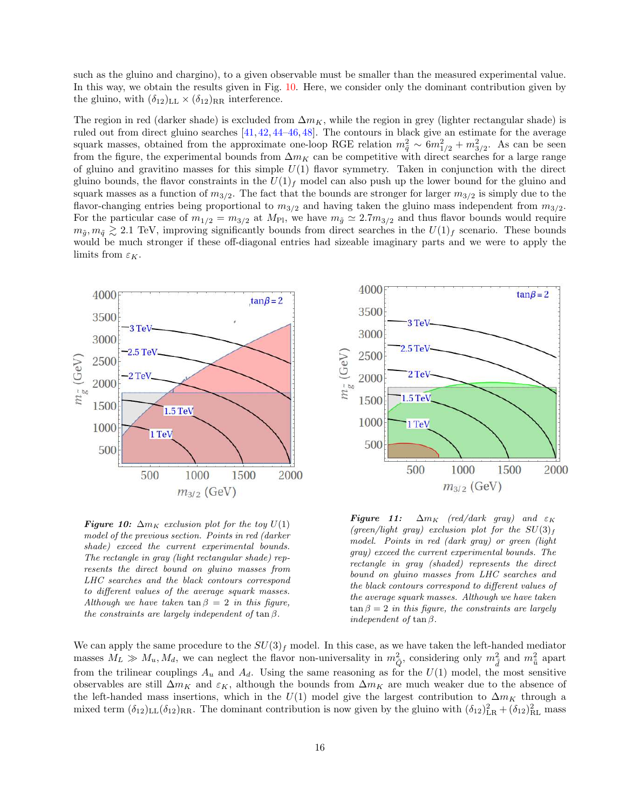such as the gluino and chargino), to a given observable must be smaller than the measured experimental value. In this way, we obtain the results given in Fig. 10. Here, we consider only the dominant contribution given by the gluino, with  $(\delta_{12})_{LL} \times (\delta_{12})_{RR}$  interference.

The region in red (darker shade) is excluded from  $\Delta m_K$ , while the region in grey (lighter rectangular shade) is ruled out from direct gluino searches [41, 42, 44–46, 48]. The contours in black give an estimate for the average squark masses, obtained from the approximate one-loop RGE relation  $m_{\tilde{q}}^2 \sim 6m_{1/2}^2 + m_{3/2}^2$ . As can be seen from the figure, the experimental bounds from  $\Delta m_K$  can be competitive with direct searches for a large range of gluino and gravitino masses for this simple  $U(1)$  flavor symmetry. Taken in conjunction with the direct gluino bounds, the flavor constraints in the  $U(1)<sub>f</sub>$  model can also push up the lower bound for the gluino and squark masses as a function of  $m_{3/2}$ . The fact that the bounds are stronger for larger  $m_{3/2}$  is simply due to the flavor-changing entries being proportional to  $m_{3/2}$  and having taken the gluino mass independent from  $m_{3/2}$ . For the particular case of  $m_{1/2} = m_{3/2}$  at  $M_{\text{Pl}}$ , we have  $m_{\tilde{g}} \simeq 2.7 m_{3/2}$  and thus flavor bounds would require  $m_{\tilde{q}}, m_{\tilde{q}} \gtrsim 2.1$  TeV, improving significantly bounds from direct searches in the  $U(1)<sub>f</sub>$  scenario. These bounds would be much stronger if these off-diagonal entries had sizeable imaginary parts and we were to apply the limits from  $\varepsilon_K.$ 



**Figure 10:**  $\Delta m_K$  exclusion plot for the toy  $U(1)$ model of the previous section. Points in red (darker shade) exceed the current experimental bounds. The rectangle in gray (light rectangular shade) represents the direct bound on gluino masses from LHC searches and the black contours correspond to different values of the average squark masses. Although we have taken tan  $\beta = 2$  in this figure, the constraints are largely independent of  $\tan \beta$ .



**Figure 11:**  $\Delta m_K$  (red/dark gray) and  $\varepsilon_K$ (green/light gray) exclusion plot for the  $SU(3)_f$ model. Points in red (dark gray) or green (light gray) exceed the current experimental bounds. The rectangle in gray (shaded) represents the direct bound on gluino masses from LHC searches and the black contours correspond to different values of the average squark masses. Although we have taken  $\tan \beta = 2$  in this figure, the constraints are largely independent of tan $\beta$ .

We can apply the same procedure to the  $SU(3)_f$  model. In this case, as we have taken the left-handed mediator masses  $M_L \gg M_u, M_d$ , we can neglect the flavor non-universality in  $m_{\tilde{Q}}^2$ , considering only  $m_{\tilde{d}}^2$  and  $m_{\tilde{u}}^2$  apart from the trilinear couplings  $A_u$  and  $A_d$ . Using the same reasoning as for the  $U(1)$  model, the most sensitive observables are still  $\Delta m_K$  and  $\varepsilon_K$ , although the bounds from  $\Delta m_K$  are much weaker due to the absence of the left-handed mass insertions, which in the  $U(1)$  model give the largest contribution to  $\Delta m_K$  through a mixed term  $(\delta_{12})_{LL}(\delta_{12})_{RR}$ . The dominant contribution is now given by the gluino with  $(\delta_{12})_{LR}^2 + (\delta_{12})_{RL}^2$  mass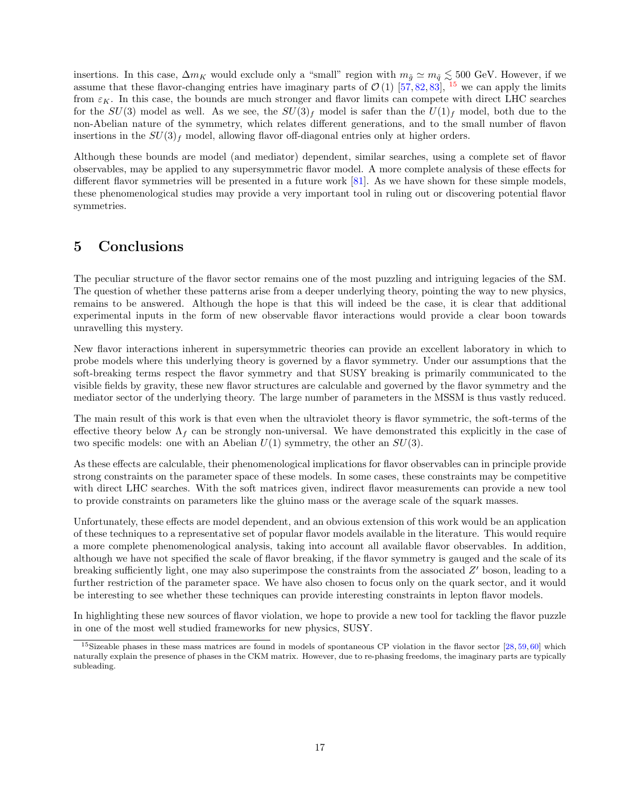insertions. In this case,  $\Delta m_K$  would exclude only a "small" region with  $m_{\tilde{g}} \simeq m_{\tilde{q}} \lesssim 500$  GeV. However, if we assume that these flavor-changing entries have imaginary parts of  $\mathcal{O}(1)$  [57, 82, 83], <sup>15</sup> we can apply the limits from  $\varepsilon_K$ . In this case, the bounds are much stronger and flavor limits can compete with direct LHC searches for the  $SU(3)$  model as well. As we see, the  $SU(3)<sub>f</sub>$  model is safer than the  $U(1)<sub>f</sub>$  model, both due to the non-Abelian nature of the symmetry, which relates different generations, and to the small number of flavon insertions in the  $SU(3)<sub>f</sub>$  model, allowing flavor off-diagonal entries only at higher orders.

Although these bounds are model (and mediator) dependent, similar searches, using a complete set of flavor observables, may be applied to any supersymmetric flavor model. A more complete analysis of these effects for different flavor symmetries will be presented in a future work [81]. As we have shown for these simple models, these phenomenological studies may provide a very important tool in ruling out or discovering potential flavor symmetries.

## 5 Conclusions

The peculiar structure of the flavor sector remains one of the most puzzling and intriguing legacies of the SM. The question of whether these patterns arise from a deeper underlying theory, pointing the way to new physics, remains to be answered. Although the hope is that this will indeed be the case, it is clear that additional experimental inputs in the form of new observable flavor interactions would provide a clear boon towards unravelling this mystery.

New flavor interactions inherent in supersymmetric theories can provide an excellent laboratory in which to probe models where this underlying theory is governed by a flavor symmetry. Under our assumptions that the soft-breaking terms respect the flavor symmetry and that SUSY breaking is primarily communicated to the visible fields by gravity, these new flavor structures are calculable and governed by the flavor symmetry and the mediator sector of the underlying theory. The large number of parameters in the MSSM is thus vastly reduced.

The main result of this work is that even when the ultraviolet theory is flavor symmetric, the soft-terms of the effective theory below  $\Lambda_f$  can be strongly non-universal. We have demonstrated this explicitly in the case of two specific models: one with an Abelian  $U(1)$  symmetry, the other an  $SU(3)$ .

As these effects are calculable, their phenomenological implications for flavor observables can in principle provide strong constraints on the parameter space of these models. In some cases, these constraints may be competitive with direct LHC searches. With the soft matrices given, indirect flavor measurements can provide a new tool to provide constraints on parameters like the gluino mass or the average scale of the squark masses.

Unfortunately, these effects are model dependent, and an obvious extension of this work would be an application of these techniques to a representative set of popular flavor models available in the literature. This would require a more complete phenomenological analysis, taking into account all available flavor observables. In addition, although we have not specified the scale of flavor breaking, if the flavor symmetry is gauged and the scale of its breaking sufficiently light, one may also superimpose the constraints from the associated  $Z'$  boson, leading to a further restriction of the parameter space. We have also chosen to focus only on the quark sector, and it would be interesting to see whether these techniques can provide interesting constraints in lepton flavor models.

In highlighting these new sources of flavor violation, we hope to provide a new tool for tackling the flavor puzzle in one of the most well studied frameworks for new physics, SUSY.

<sup>&</sup>lt;sup>15</sup>Sizeable phases in these mass matrices are found in models of spontaneous CP violation in the flavor sector [28, 59, 60] which naturally explain the presence of phases in the CKM matrix. However, due to re-phasing freedoms, the imaginary parts are typically subleading.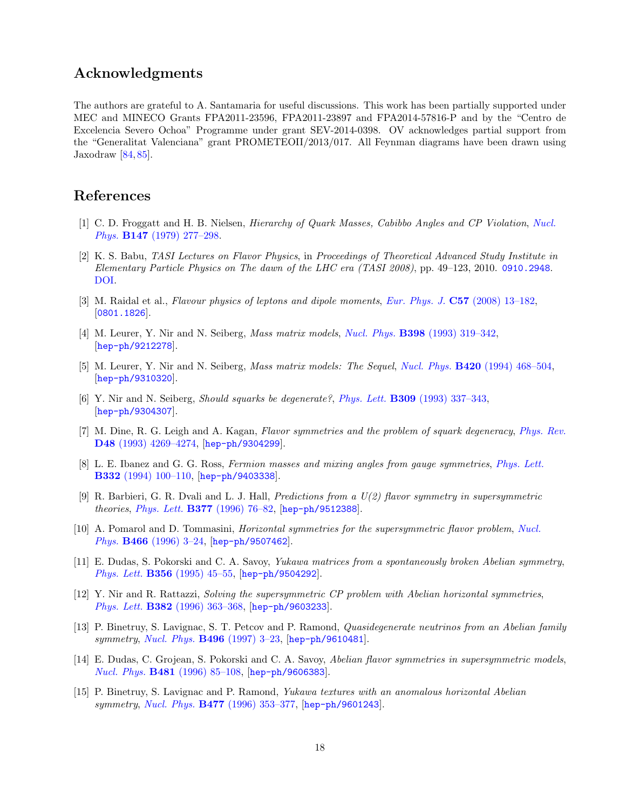# Acknowledgments

The authors are grateful to A. Santamaria for useful discussions. This work has been partially supported under MEC and MINECO Grants FPA2011-23596, FPA2011-23897 and FPA2014-57816-P and by the "Centro de Excelencia Severo Ochoa" Programme under grant SEV-2014-0398. OV acknowledges partial support from the "Generalitat Valenciana" grant PROMETEOII/2013/017. All Feynman diagrams have been drawn using Jaxodraw<sup>[84,85]</sup>.

### References

- [1] C. D. Froggatt and H. B. Nielsen, Hierarchy of Quark Masses, Cabibbo Angles and CP Violation, Nucl. Phys. B147 (1979) 277–298.
- [2] K. S. Babu, TASI Lectures on Flavor Physics, in Proceedings of Theoretical Advanced Study Institute in Elementary Particle Physics on The dawn of the LHC era (TASI 2008), pp. 49–123, 2010. 0910.2948. DOI.
- [3] M. Raidal et al., Flavour physics of leptons and dipole moments, Eur. Phys. J. C57 (2008) 13–182, [0801.1826].
- [4] M. Leurer, Y. Nir and N. Seiberg, Mass matrix models, Nucl. Phys. B398 (1993) 319–342, [hep-ph/9212278].
- [5] M. Leurer, Y. Nir and N. Seiberg, *Mass matrix models: The Sequel, Nucl. Phys.* **B420** (1994) 468–504, [hep-ph/9310320].
- [6] Y. Nir and N. Seiberg, Should squarks be degenerate?, Phys. Lett. B309 (1993) 337–343, [hep-ph/9304307].
- [7] M. Dine, R. G. Leigh and A. Kagan, Flavor symmetries and the problem of squark degeneracy, Phys. Rev. D48 (1993) 4269–4274, [hep-ph/9304299].
- [8] L. E. Ibanez and G. G. Ross, Fermion masses and mixing angles from gauge symmetries, Phys. Lett. B332 (1994) 100–110, [hep-ph/9403338].
- [9] R. Barbieri, G. R. Dvali and L. J. Hall, Predictions from a U(2) flavor symmetry in supersymmetric theories, Phys. Lett. B377 (1996) 76–82, [hep-ph/9512388].
- [10] A. Pomarol and D. Tommasini, Horizontal symmetries for the supersymmetric flavor problem, Nucl. Phys. B466 (1996) 3–24, [hep-ph/9507462].
- [11] E. Dudas, S. Pokorski and C. A. Savoy, Yukawa matrices from a spontaneously broken Abelian symmetry, Phys. Lett. B356 (1995) 45–55, [hep-ph/9504292].
- [12] Y. Nir and R. Rattazzi, Solving the supersymmetric CP problem with Abelian horizontal symmetries, Phys. Lett. B382 (1996) 363–368, [hep-ph/9603233].
- [13] P. Binetruy, S. Lavignac, S. T. Petcov and P. Ramond, Quasidegenerate neutrinos from an Abelian family symmetry, Nucl. Phys. B496 (1997) 3–23, [hep-ph/9610481].
- [14] E. Dudas, C. Grojean, S. Pokorski and C. A. Savoy, Abelian flavor symmetries in supersymmetric models, Nucl. Phys. B481 (1996) 85–108, [hep-ph/9606383].
- [15] P. Binetruy, S. Lavignac and P. Ramond, Yukawa textures with an anomalous horizontal Abelian symmetry, Nucl. Phys. **B477** (1996) 353-377, [hep-ph/9601243].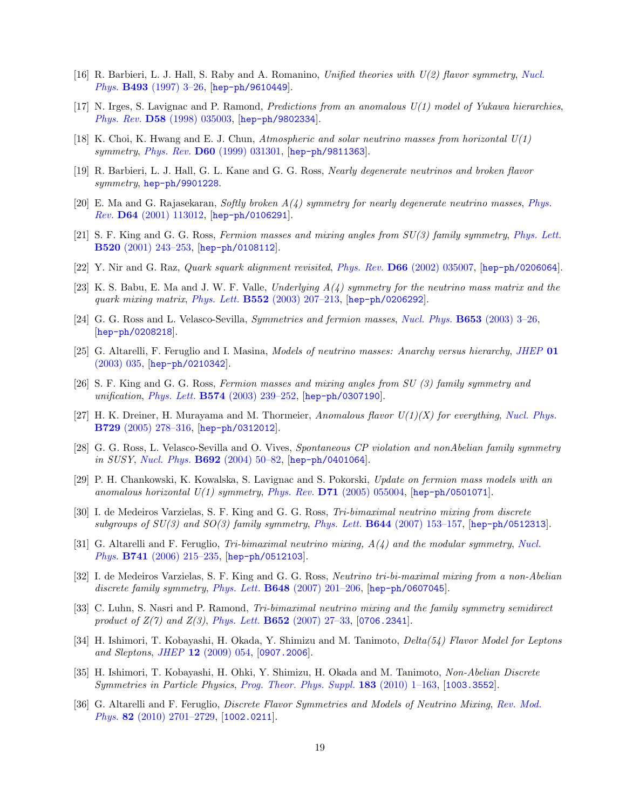- [16] R. Barbieri, L. J. Hall, S. Raby and A. Romanino, Unified theories with  $U(2)$  flavor symmetry, Nucl. Phys. B493 (1997) 3–26, [hep-ph/9610449].
- [17] N. Irges, S. Lavignac and P. Ramond, *Predictions from an anomalous*  $U(1)$  *model of Yukawa hierarchies*, Phys. Rev. D58 (1998) 035003, [hep-ph/9802334].
- [18] K. Choi, K. Hwang and E. J. Chun, Atmospheric and solar neutrino masses from horizontal  $U(1)$ symmetry, Phys. Rev. D60 (1999) 031301, [hep-ph/9811363].
- [19] R. Barbieri, L. J. Hall, G. L. Kane and G. G. Ross, Nearly degenerate neutrinos and broken flavor symmetry, hep-ph/9901228.
- [20] E. Ma and G. Rajasekaran, Softly broken  $A(4)$  symmetry for nearly degenerate neutrino masses, Phys.  $Rev.$  **D64** (2001) 113012, [hep-ph/0106291].
- [21] S. F. King and G. G. Ross, Fermion masses and mixing angles from SU(3) family symmetry, Phys. Lett. B520 (2001) 243–253, [hep-ph/0108112].
- [22] Y. Nir and G. Raz, Quark squark alignment revisited, Phys. Rev. D66 (2002) 035007, [hep-ph/0206064].
- [23] K. S. Babu, E. Ma and J. W. F. Valle, Underlying  $A(4)$  symmetry for the neutrino mass matrix and the quark mixing matrix, Phys. Lett.  $B552$  (2003) 207-213,  $|hep-ph/0206292|$ .
- [24] G. G. Ross and L. Velasco-Sevilla, Symmetries and fermion masses, Nucl. Phys. B653 (2003) 3–26, [hep-ph/0208218].
- [25] G. Altarelli, F. Feruglio and I. Masina, *Models of neutrino masses: Anarchy versus hierarchy*, *JHEP* 01 (2003) 035, [hep-ph/0210342].
- [26] S. F. King and G. G. Ross, Fermion masses and mixing angles from SU (3) family symmetry and unification, *Phys. Lett.* **B574** (2003) 239-252, [hep-ph/0307190].
- [27] H. K. Dreiner, H. Murayama and M. Thormeier, Anomalous flavor  $U(1)(X)$  for everything, Nucl. Phys. B729 (2005) 278–316, [hep-ph/0312012].
- [28] G. G. Ross, L. Velasco-Sevilla and O. Vives, Spontaneous CP violation and nonAbelian family symmetry in SUSY, Nucl. Phys. B692 (2004) 50–82, [hep-ph/0401064].
- [29] P. H. Chankowski, K. Kowalska, S. Lavignac and S. Pokorski, Update on fermion mass models with an anomalous horizontal  $U(1)$  symmetry, Phys. Rev. **D71** (2005) 055004, [hep-ph/0501071].
- [30] I. de Medeiros Varzielas, S. F. King and G. G. Ross, Tri-bimaximal neutrino mixing from discrete subgroups of  $SU(3)$  and  $SO(3)$  family symmetry, Phys. Lett.  $B644$  (2007) 153-157, [hep-ph/0512313].
- [31] G. Altarelli and F. Feruglio, Tri-bimaximal neutrino mixing,  $A(4)$  and the modular symmetry, Nucl. Phys. B741 (2006) 215–235, [hep-ph/0512103].
- [32] I. de Medeiros Varzielas, S. F. King and G. G. Ross, Neutrino tri-bi-maximal mixing from a non-Abelian discrete family symmetry, Phys. Lett.  $\bf{B648}$  (2007) 201–206,  $\{hep-ph/0607045\}$ .
- [33] C. Luhn, S. Nasri and P. Ramond, Tri-bimaximal neutrino mixing and the family symmetry semidirect product of  $Z(7)$  and  $Z(3)$ , Phys. Lett. **B652** (2007) 27–33, [0706.2341].
- [34] H. Ishimori, T. Kobayashi, H. Okada, Y. Shimizu and M. Tanimoto, Delta(54) Flavor Model for Leptons and Sleptons, JHEP  $12$  (2009) 054, [0907.2006].
- [35] H. Ishimori, T. Kobayashi, H. Ohki, Y. Shimizu, H. Okada and M. Tanimoto, Non-Abelian Discrete Symmetries in Particle Physics, Prog. Theor. Phys. Suppl. 183 (2010) 1–163, [1003.3552].
- [36] G. Altarelli and F. Feruglio, Discrete Flavor Symmetries and Models of Neutrino Mixing, Rev. Mod. Phys. 82 (2010) 2701–2729, [1002.0211].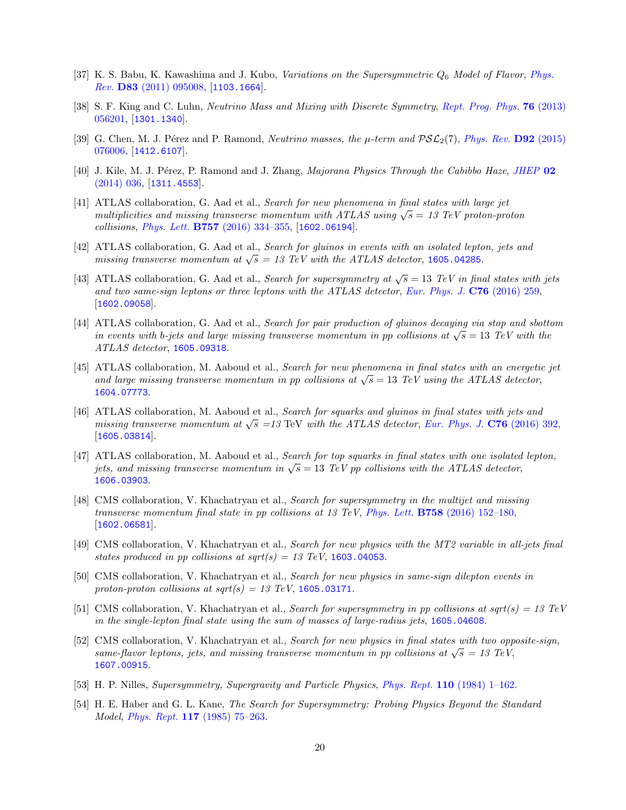- [37] K. S. Babu, K. Kawashima and J. Kubo, Variations on the Supersymmetric  $Q_6$  Model of Flavor, Phys. Rev. D83 (2011) 095008, [1103.1664].
- [38] S. F. King and C. Luhn, *Neutrino Mass and Mixing with Discrete Symmetry, Rept. Prog. Phys.* **76** (2013) 056201, [1301.1340].
- [39] G. Chen, M. J. Pérez and P. Ramond, Neutrino masses, the  $\mu$ -term and  $\mathcal{PSL}_2(7)$ , Phys. Rev. **D92** (2015) 076006, [1412.6107].
- [40] J. Kile, M. J. Pérez, P. Ramond and J. Zhang, *Majorana Physics Through the Cabibbo Haze*, *JHEP* 02 (2014) 036, [1311.4553].
- [41] ATLAS collaboration, G. Aad et al., Search for new phenomena in final states with large jet multiplicities and missing transverse momentum with ATLAS using  $\sqrt{s} = 13$  TeV proton-proton collisions, Phys. Lett. B757 (2016) 334–355, [1602.06194].
- [42] ATLAS collaboration, G. Aad et al., Search for gluinos in events with an isolated lepton, jets and missing transverse momentum at  $\sqrt{s} = 13$  TeV with the ATLAS detector, 1605.04285.
- [43] ATLAS collaboration, G. Aad et al., Search for supersymmetry at  $\sqrt{s} = 13$  TeV in final states with jets and two same-sign leptons or three leptons with the ATLAS detector, Eur. Phys. J.  $C76$  (2016) 259, [1602.09058].
- [44] ATLAS collaboration, G. Aad et al., Search for pair production of gluinos decaying via stop and sbottom in events with b-jets and large missing transverse momentum in pp collisions at  $\sqrt{s} = 13$  TeV with the ATLAS detector, 1605.09318.
- [45] ATLAS collaboration, M. Aaboud et al., Search for new phenomena in final states with an energetic jet and large missing transverse momentum in pp collisions at  $\sqrt{s} = 13$  TeV using the ATLAS detector, 1604.07773.
- [46] ATLAS collaboration, M. Aaboud et al., Search for squarks and gluinos in final states with jets and missing transverse momentum at  $\sqrt{s}$  =13 TeV with the ATLAS detector, Eur. Phys. J. C76 (2016) 392, [1605.03814].
- [47] ATLAS collaboration, M. Aaboud et al., Search for top squarks in final states with one isolated lepton, jets, and missing transverse momentum in  $\sqrt{s} = 13$  TeV pp collisions with the ATLAS detector, 1606.03903.
- [48] CMS collaboration, V. Khachatryan et al., Search for supersymmetry in the multijet and missing transverse momentum final state in pp collisions at 13 TeV, Phys. Lett. **B758** (2016) 152-180, [1602.06581].
- [49] CMS collaboration, V. Khachatryan et al., Search for new physics with the MT2 variable in all-jets final states produced in pp collisions at  $sqrt(s) = 13 \text{ TeV}$ , 1603.04053.
- [50] CMS collaboration, V. Khachatryan et al., Search for new physics in same-sign dilepton events in proton-proton collisions at  $sqrt(s) = 13$  TeV, 1605.03171.
- [51] CMS collaboration, V. Khachatryan et al., Search for supersymmetry in pp collisions at sqrt(s) = 13 TeV in the single-lepton final state using the sum of masses of large-radius jets, 1605.04608.
- [52] CMS collaboration, V. Khachatryan et al., Search for new physics in final states with two opposite-sign, same-flavor leptons, jets, and missing transverse momentum in pp collisions at  $\sqrt{s} = 13$  TeV, 1607.00915.
- [53] H. P. Nilles, Supersymmetry, Supergravity and Particle Physics, Phys. Rept. 110 (1984) 1–162.
- [54] H. E. Haber and G. L. Kane, The Search for Supersymmetry: Probing Physics Beyond the Standard Model, Phys. Rept. 117 (1985) 75–263.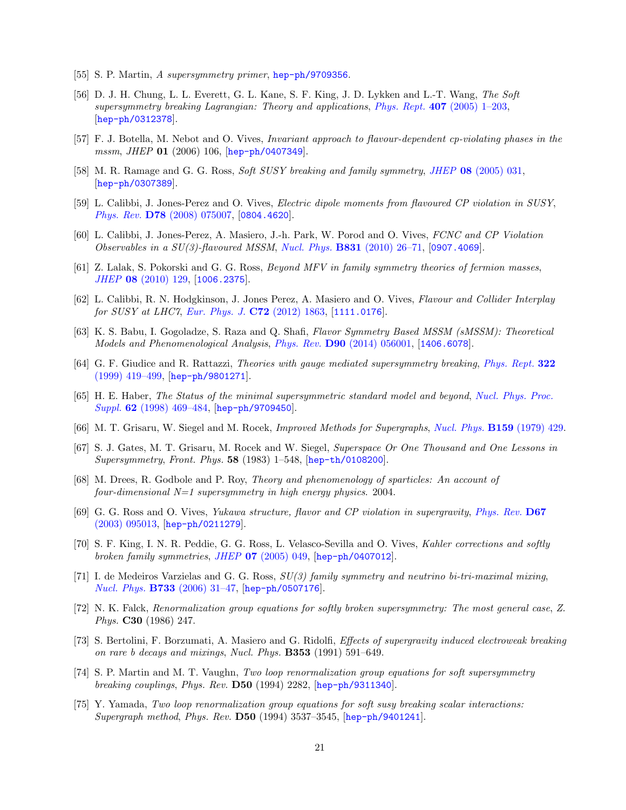- [55] S. P. Martin, A supersymmetry primer, hep-ph/9709356.
- [56] D. J. H. Chung, L. L. Everett, G. L. Kane, S. F. King, J. D. Lykken and L.-T. Wang, The Soft supersymmetry breaking Lagrangian: Theory and applications, Phys. Rept. 407 (2005) 1–203, [hep-ph/0312378].
- [57] F. J. Botella, M. Nebot and O. Vives, Invariant approach to flavour-dependent cp-violating phases in the mssm, JHEP 01 (2006) 106, [hep-ph/0407349].
- [58] M. R. Ramage and G. G. Ross, Soft SUSY breaking and family symmetry, JHEP 08 (2005) 031, [hep-ph/0307389].
- [59] L. Calibbi, J. Jones-Perez and O. Vives, Electric dipole moments from flavoured CP violation in SUSY, Phys. Rev. D78 (2008) 075007, [0804.4620].
- [60] L. Calibbi, J. Jones-Perez, A. Masiero, J.-h. Park, W. Porod and O. Vives, FCNC and CP Violation Observables in a  $SU(3)$ -flavoured MSSM, Nucl. Phys. **B831** (2010) 26–71, [0907.4069].
- [61] Z. Lalak, S. Pokorski and G. G. Ross, Beyond MFV in family symmetry theories of fermion masses, JHEP 08 (2010) 129, [1006.2375].
- [62] L. Calibbi, R. N. Hodgkinson, J. Jones Perez, A. Masiero and O. Vives, Flavour and Collider Interplay for SUSY at LHC7, Eur. Phys. J.  $C72$  (2012) 1863, [1111.0176].
- [63] K. S. Babu, I. Gogoladze, S. Raza and Q. Shafi, Flavor Symmetry Based MSSM (sMSSM): Theoretical Models and Phenomenological Analysis, Phys. Rev. D90 (2014) 056001, [1406.6078].
- [64] G. F. Giudice and R. Rattazzi, Theories with gauge mediated supersymmetry breaking, Phys. Rept. 322 (1999) 419–499, [hep-ph/9801271].
- [65] H. E. Haber, The Status of the minimal supersymmetric standard model and beyond, Nucl. Phys. Proc. Suppl. 62 (1998) 469–484, [hep-ph/9709450].
- [66] M. T. Grisaru, W. Siegel and M. Rocek, Improved Methods for Supergraphs, Nucl. Phys. B159 (1979) 429.
- [67] S. J. Gates, M. T. Grisaru, M. Rocek and W. Siegel, Superspace Or One Thousand and One Lessons in Supersymmetry, Front. Phys. 58 (1983) 1–548, [hep-th/0108200].
- [68] M. Drees, R. Godbole and P. Roy, Theory and phenomenology of sparticles: An account of four-dimensional  $N=1$  supersymmetry in high energy physics. 2004.
- [69] G. G. Ross and O. Vives, Yukawa structure, flavor and CP violation in supergravity, Phys. Rev. D67 (2003) 095013, [hep-ph/0211279].
- [70] S. F. King, I. N. R. Peddie, G. G. Ross, L. Velasco-Sevilla and O. Vives, Kahler corrections and softly broken family symmetries, JHEP  $07$  (2005) 049, [hep-ph/0407012].
- [71] I. de Medeiros Varzielas and G. G. Ross, SU(3) family symmetry and neutrino bi-tri-maximal mixing, Nucl. Phys. B733 (2006) 31–47, [hep-ph/0507176].
- [72] N. K. Falck, Renormalization group equations for softly broken supersymmetry: The most general case, Z. Phys. C30 (1986) 247.
- [73] S. Bertolini, F. Borzumati, A. Masiero and G. Ridolfi, Effects of supergravity induced electroweak breaking on rare b decays and mixings, Nucl. Phys. B353 (1991) 591–649.
- [74] S. P. Martin and M. T. Vaughn, Two loop renormalization group equations for soft supersymmetry breaking couplings, Phys. Rev. D50 (1994) 2282, [hep-ph/9311340].
- [75] Y. Yamada, Two loop renormalization group equations for soft susy breaking scalar interactions: Supergraph method, Phys. Rev. D50 (1994) 3537–3545, [hep-ph/9401241].